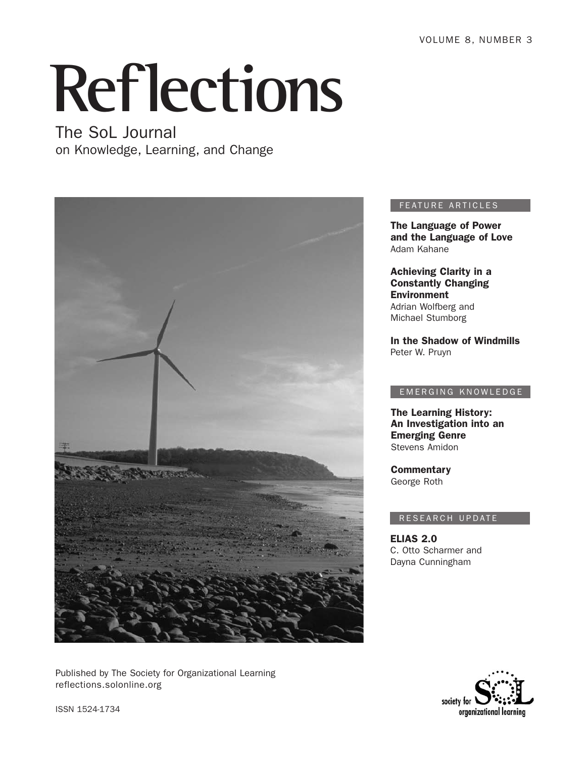# **Reflections**

# The SoL Journal

on Knowledge, Learning, and Change



Published by The Society for Organizational Learning reflections.solonline.org

#### FEATURE ARTICLES

The Language of Power and the Language of Love Adam Kahane

Achieving Clarity in a Constantly Changing Environment Adrian Wolfberg and Michael Stumborg

In the Shadow of Windmills Peter W. Pruyn

#### EMERGING KNOWLEDGE

The Learning History: An Investigation into an Emerging Genre Stevens Amidon

**Commentary** George Roth

#### RESEARCH UPDATE

ELIAS 2.0 C. Otto Scharmer and Dayna Cunningham



ISSN 1524-1734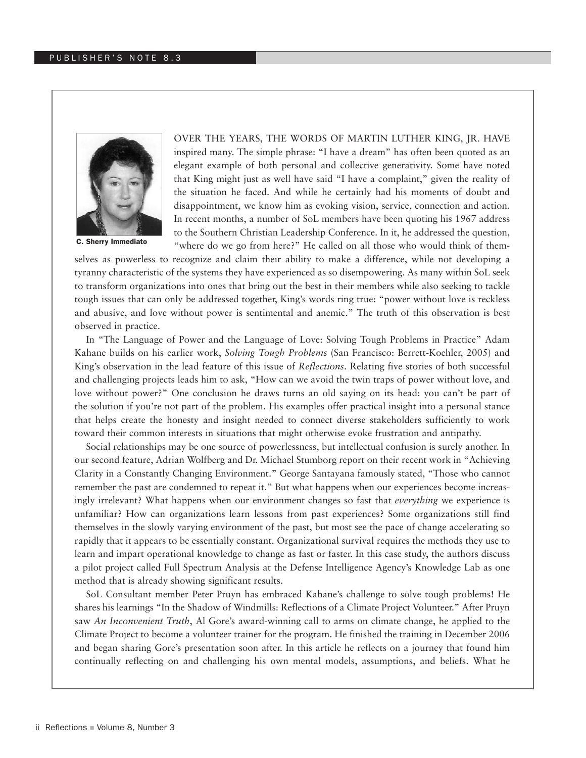

C. Sherry Immediato

Over the years, the words of Martin Luther King, Jr. have inspired many. The simple phrase: "I have a dream" has often been quoted as an elegant example of both personal and collective generativity. Some have noted that King might just as well have said "I have a complaint," given the reality of the situation he faced. And while he certainly had his moments of doubt and disappointment, we know him as evoking vision, service, connection and action. In recent months, a number of SoL members have been quoting his 1967 address to the Southern Christian Leadership Conference. In it, he addressed the question, "where do we go from here?" He called on all those who would think of them-

selves as powerless to recognize and claim their ability to make a difference, while not developing a tyranny characteristic of the systems they have experienced as so disempowering. As many within SoL seek to transform organizations into ones that bring out the best in their members while also seeking to tackle tough issues that can only be addressed together, King's words ring true: "power without love is reckless and abusive, and love without power is sentimental and anemic." The truth of this observation is best observed in practice.

In "The Language of Power and the Language of Love: Solving Tough Problems in Practice" Adam Kahane builds on his earlier work, *Solving Tough Problems* (San Francisco: Berrett-Koehler, 2005) and King's observation in the lead feature of this issue of *Reflections*. Relating five stories of both successful and challenging projects leads him to ask, "How can we avoid the twin traps of power without love, and love without power?" One conclusion he draws turns an old saying on its head: you can't be part of the solution if you're not part of the problem. His examples offer practical insight into a personal stance that helps create the honesty and insight needed to connect diverse stakeholders sufficiently to work toward their common interests in situations that might otherwise evoke frustration and antipathy.

Social relationships may be one source of powerlessness, but intellectual confusion is surely another. In our second feature, Adrian Wolfberg and Dr. Michael Stumborg report on their recent work in "Achieving Clarity in a Constantly Changing Environment." George Santayana famously stated, "Those who cannot remember the past are condemned to repeat it." But what happens when our experiences become increasingly irrelevant? What happens when our environment changes so fast that *everything* we experience is unfamiliar? How can organizations learn lessons from past experiences? Some organizations still find themselves in the slowly varying environment of the past, but most see the pace of change accelerating so rapidly that it appears to be essentially constant. Organizational survival requires the methods they use to learn and impart operational knowledge to change as fast or faster. In this case study, the authors discuss a pilot project called Full Spectrum Analysis at the Defense Intelligence Agency's Knowledge Lab as one method that is already showing significant results.

SoL Consultant member Peter Pruyn has embraced Kahane's challenge to solve tough problems! He shares his learnings "In the Shadow of Windmills: Reflections of a Climate Project Volunteer." After Pruyn saw *An Inconvenient Truth*, Al Gore's award-winning call to arms on climate change, he applied to the Climate Project to become a volunteer trainer for the program. He finished the training in December 2006 and began sharing Gore's presentation soon after. In this article he reflects on a journey that found him continually reflecting on and challenging his own mental models, assumptions, and beliefs. What he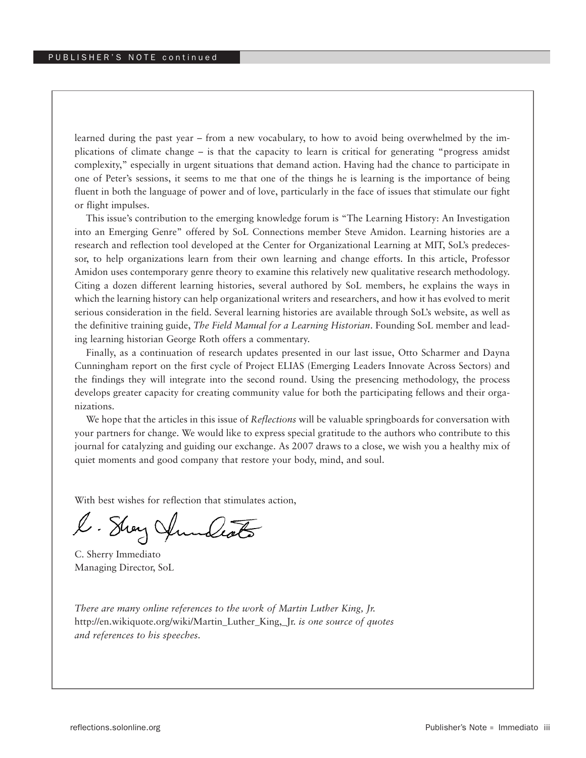learned during the past year – from a new vocabulary, to how to avoid being overwhelmed by the implications of climate change – is that the capacity to learn is critical for generating "progress amidst complexity," especially in urgent situations that demand action. Having had the chance to participate in one of Peter's sessions, it seems to me that one of the things he is learning is the importance of being fluent in both the language of power and of love, particularly in the face of issues that stimulate our fight or flight impulses.

This issue's contribution to the emerging knowledge forum is "The Learning History: An Investigation into an Emerging Genre" offered by SoL Connections member Steve Amidon. Learning histories are a research and reflection tool developed at the Center for Organizational Learning at MIT, SoL's predecessor, to help organizations learn from their own learning and change efforts. In this article, Professor Amidon uses contemporary genre theory to examine this relatively new qualitative research methodology. Citing a dozen different learning histories, several authored by SoL members, he explains the ways in which the learning history can help organizational writers and researchers, and how it has evolved to merit serious consideration in the field. Several learning histories are available through SoL's website, as well as the definitive training guide, *The Field Manual for a Learning Historian*. Founding SoL member and leading learning historian George Roth offers a commentary.

Finally, as a continuation of research updates presented in our last issue, Otto Scharmer and Dayna Cunningham report on the first cycle of Project ELIAS (Emerging Leaders Innovate Across Sectors) and the findings they will integrate into the second round. Using the presencing methodology, the process develops greater capacity for creating community value for both the participating fellows and their organizations.

We hope that the articles in this issue of *Reflections* will be valuable springboards for conversation with your partners for change. We would like to express special gratitude to the authors who contribute to this journal for catalyzing and guiding our exchange. As 2007 draws to a close, we wish you a healthy mix of quiet moments and good company that restore your body, mind, and soul.

With best wishes for reflection that stimulates action,

l. Stray Aundeats

C. Sherry Immediato Managing Director, SoL

*There are many online references to the work of Martin Luther King, Jr.*  http://en.wikiquote.org/wiki/Martin\_Luther\_King,\_Jr. *is one source of quotes and references to his speeches.*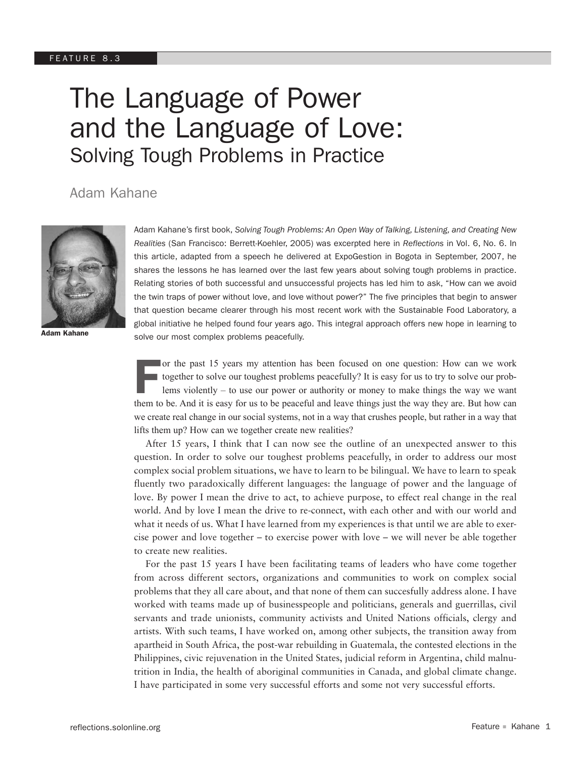# The Language of Power and the Language of Love: Solving Tough Problems in Practice

# Adam Kahane



Adam Kahane's first book, *Solving Tough Problems: An Open Way of Talking, Listening, and Creating New Realities* (San Francisco: Berrett-Koehler, 2005) was excerpted here in *Reflections* in Vol. 6, No. 6. In this article, adapted from a speech he delivered at ExpoGestion in Bogota in September, 2007, he shares the lessons he has learned over the last few years about solving tough problems in practice. Relating stories of both successful and unsuccessful projects has led him to ask, "How can we avoid the twin traps of power without love, and love without power?" The five principles that begin to answer that question became clearer through his most recent work with the Sustainable Food Laboratory, a global initiative he helped found four years ago. This integral approach offers new hope in learning to solve our most complex problems peacefully.

Adam Kahane

For the past 15 years my attention has been focused on one question: How can we work<br>together to solve our toughest problems peacefully? It is easy for us to try to solve our prob-<br>lems violently – to use our power or aut together to solve our toughest problems peacefully? It is easy for us to try to solve our problems violently – to use our power or authority or money to make things the way we want them to be. And it is easy for us to be peaceful and leave things just the way they are. But how can we create real change in our social systems, not in a way that crushes people, but rather in a way that lifts them up? How can we together create new realities?

 After 15 years, I think that I can now see the outline of an unexpected answer to this question. In order to solve our toughest problems peacefully, in order to address our most complex social problem situations, we have to learn to be bilingual. We have to learn to speak fluently two paradoxically different languages: the language of power and the language of love. By power I mean the drive to act, to achieve purpose, to effect real change in the real world. And by love I mean the drive to re-connect, with each other and with our world and what it needs of us. What I have learned from my experiences is that until we are able to exercise power and love together – to exercise power with love – we will never be able together to create new realities.

 For the past 15 years I have been facilitating teams of leaders who have come together from across different sectors, organizations and communities to work on complex social problems that they all care about, and that none of them can succesfully address alone. I have worked with teams made up of businesspeople and politicians, generals and guerrillas, civil servants and trade unionists, community activists and United Nations officials, clergy and artists. With such teams, I have worked on, among other subjects, the transition away from apartheid in South Africa, the post-war rebuilding in Guatemala, the contested elections in the Philippines, civic rejuvenation in the United States, judicial reform in Argentina, child malnutrition in India, the health of aboriginal communities in Canada, and global climate change. I have participated in some very successful efforts and some not very successful efforts.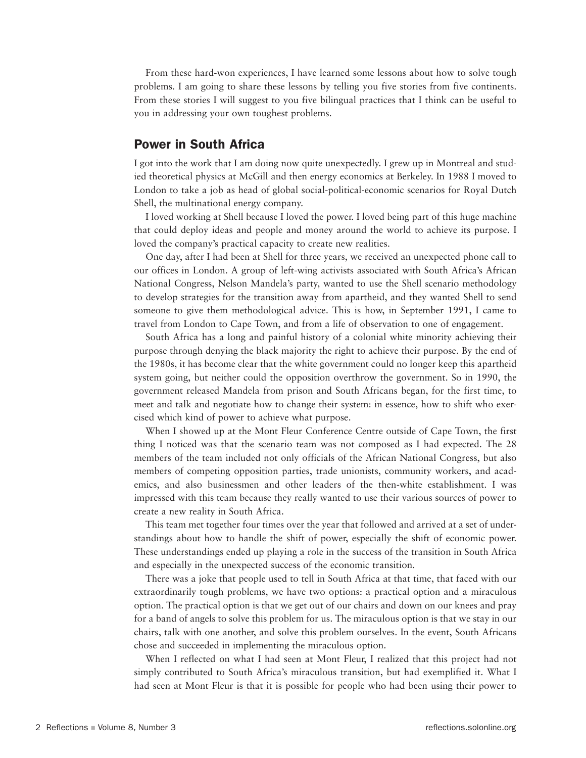From these hard-won experiences, I have learned some lessons about how to solve tough problems. I am going to share these lessons by telling you five stories from five continents. From these stories I will suggest to you five bilingual practices that I think can be useful to you in addressing your own toughest problems.

## Power in South Africa

I got into the work that I am doing now quite unexpectedly. I grew up in Montreal and studied theoretical physics at McGill and then energy economics at Berkeley. In 1988 I moved to London to take a job as head of global social-political-economic scenarios for Royal Dutch Shell, the multinational energy company.

 I loved working at Shell because I loved the power. I loved being part of this huge machine that could deploy ideas and people and money around the world to achieve its purpose. I loved the company's practical capacity to create new realities.

One day, after I had been at Shell for three years, we received an unexpected phone call to our offices in London. A group of left-wing activists associated with South Africa's African National Congress, Nelson Mandela's party, wanted to use the Shell scenario methodology to develop strategies for the transition away from apartheid, and they wanted Shell to send someone to give them methodological advice. This is how, in September 1991, I came to travel from London to Cape Town, and from a life of observation to one of engagement.

 South Africa has a long and painful history of a colonial white minority achieving their purpose through denying the black majority the right to achieve their purpose. By the end of the 1980s, it has become clear that the white government could no longer keep this apartheid system going, but neither could the opposition overthrow the government. So in 1990, the government released Mandela from prison and South Africans began, for the first time, to meet and talk and negotiate how to change their system: in essence, how to shift who exercised which kind of power to achieve what purpose.

 When I showed up at the Mont Fleur Conference Centre outside of Cape Town, the first thing I noticed was that the scenario team was not composed as I had expected. The 28 members of the team included not only officials of the African National Congress, but also members of competing opposition parties, trade unionists, community workers, and academics, and also businessmen and other leaders of the then-white establishment. I was impressed with this team because they really wanted to use their various sources of power to create a new reality in South Africa.

 This team met together four times over the year that followed and arrived at a set of understandings about how to handle the shift of power, especially the shift of economic power. These understandings ended up playing a role in the success of the transition in South Africa and especially in the unexpected success of the economic transition.

 There was a joke that people used to tell in South Africa at that time, that faced with our extraordinarily tough problems, we have two options: a practical option and a miraculous option. The practical option is that we get out of our chairs and down on our knees and pray for a band of angels to solve this problem for us. The miraculous option is that we stay in our chairs, talk with one another, and solve this problem ourselves. In the event, South Africans chose and succeeded in implementing the miraculous option.

 When I reflected on what I had seen at Mont Fleur, I realized that this project had not simply contributed to South Africa's miraculous transition, but had exemplified it. What I had seen at Mont Fleur is that it is possible for people who had been using their power to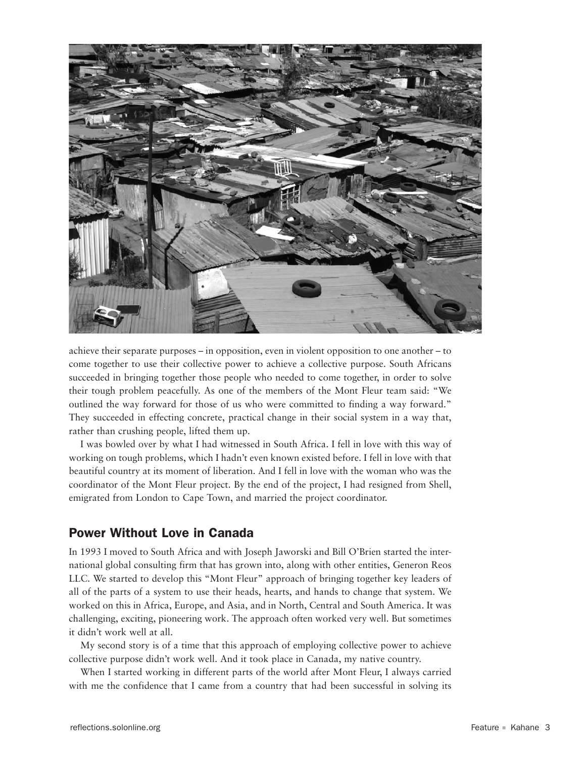

achieve their separate purposes – in opposition, even in violent opposition to one another – to come together to use their collective power to achieve a collective purpose. South Africans succeeded in bringing together those people who needed to come together, in order to solve their tough problem peacefully. As one of the members of the Mont Fleur team said: "We outlined the way forward for those of us who were committed to finding a way forward." They succeeded in effecting concrete, practical change in their social system in a way that, rather than crushing people, lifted them up.

 I was bowled over by what I had witnessed in South Africa. I fell in love with this way of working on tough problems, which I hadn't even known existed before. I fell in love with that beautiful country at its moment of liberation. And I fell in love with the woman who was the coordinator of the Mont Fleur project. By the end of the project, I had resigned from Shell, emigrated from London to Cape Town, and married the project coordinator.

# Power Without Love in Canada

In 1993 I moved to South Africa and with Joseph Jaworski and Bill O'Brien started the international global consulting firm that has grown into, along with other entities, Generon Reos LLC. We started to develop this "Mont Fleur" approach of bringing together key leaders of all of the parts of a system to use their heads, hearts, and hands to change that system. We worked on this in Africa, Europe, and Asia, and in North, Central and South America. It was challenging, exciting, pioneering work. The approach often worked very well. But sometimes it didn't work well at all.

My second story is of a time that this approach of employing collective power to achieve collective purpose didn't work well. And it took place in Canada, my native country.

 When I started working in different parts of the world after Mont Fleur, I always carried with me the confidence that I came from a country that had been successful in solving its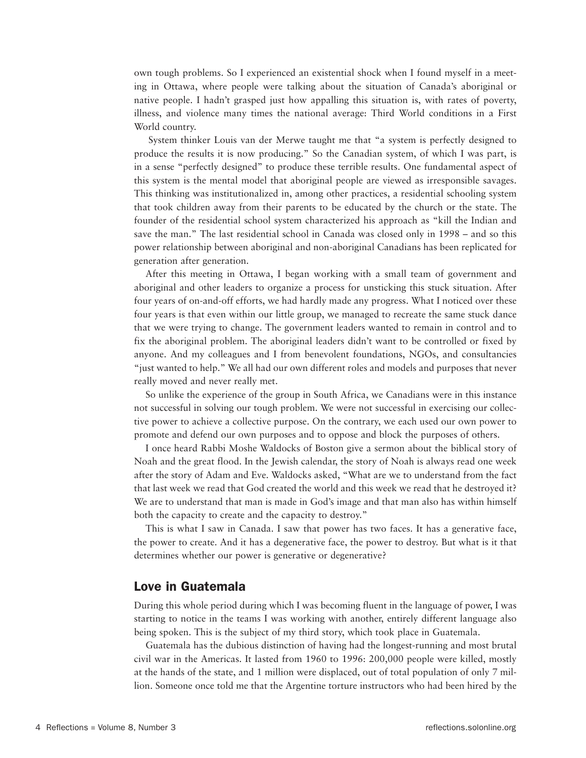own tough problems. So I experienced an existential shock when I found myself in a meeting in Ottawa, where people were talking about the situation of Canada's aboriginal or native people. I hadn't grasped just how appalling this situation is, with rates of poverty, illness, and violence many times the national average: Third World conditions in a First World country.

 System thinker Louis van der Merwe taught me that "a system is perfectly designed to produce the results it is now producing." So the Canadian system, of which I was part, is in a sense "perfectly designed" to produce these terrible results. One fundamental aspect of this system is the mental model that aboriginal people are viewed as irresponsible savages. This thinking was institutionalized in, among other practices, a residential schooling system that took children away from their parents to be educated by the church or the state. The founder of the residential school system characterized his approach as "kill the Indian and save the man." The last residential school in Canada was closed only in 1998 – and so this power relationship between aboriginal and non-aboriginal Canadians has been replicated for generation after generation.

 After this meeting in Ottawa, I began working with a small team of government and aboriginal and other leaders to organize a process for unsticking this stuck situation. After four years of on-and-off efforts, we had hardly made any progress. What I noticed over these four years is that even within our little group, we managed to recreate the same stuck dance that we were trying to change. The government leaders wanted to remain in control and to fix the aboriginal problem. The aboriginal leaders didn't want to be controlled or fixed by anyone. And my colleagues and I from benevolent foundations, NGOs, and consultancies "just wanted to help." We all had our own different roles and models and purposes that never really moved and never really met.

 So unlike the experience of the group in South Africa, we Canadians were in this instance not successful in solving our tough problem. We were not successful in exercising our collective power to achieve a collective purpose. On the contrary, we each used our own power to promote and defend our own purposes and to oppose and block the purposes of others.

 I once heard Rabbi Moshe Waldocks of Boston give a sermon about the biblical story of Noah and the great flood. In the Jewish calendar, the story of Noah is always read one week after the story of Adam and Eve. Waldocks asked, "What are we to understand from the fact that last week we read that God created the world and this week we read that he destroyed it? We are to understand that man is made in God's image and that man also has within himself both the capacity to create and the capacity to destroy."

 This is what I saw in Canada. I saw that power has two faces. It has a generative face, the power to create. And it has a degenerative face, the power to destroy. But what is it that determines whether our power is generative or degenerative?

#### Love in Guatemala

During this whole period during which I was becoming fluent in the language of power, I was starting to notice in the teams I was working with another, entirely different language also being spoken. This is the subject of my third story, which took place in Guatemala.

 Guatemala has the dubious distinction of having had the longest-running and most brutal civil war in the Americas. It lasted from 1960 to 1996: 200,000 people were killed, mostly at the hands of the state, and 1 million were displaced, out of total population of only 7 million. Someone once told me that the Argentine torture instructors who had been hired by the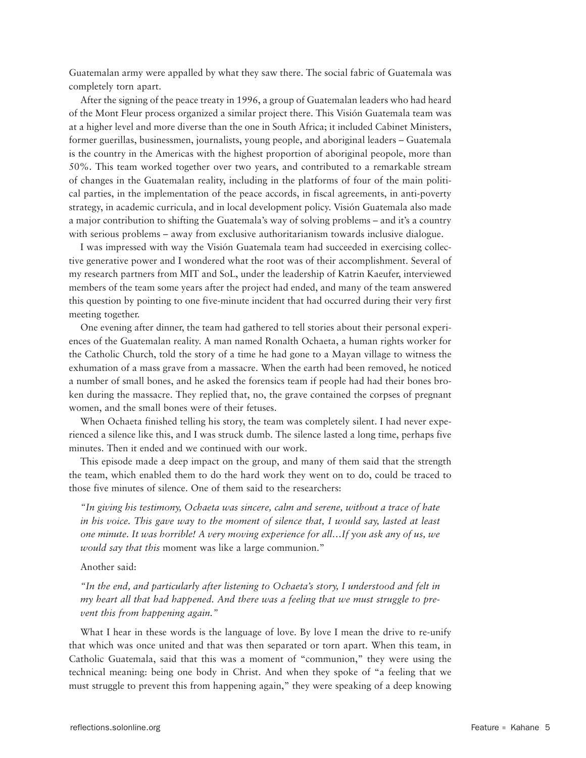Guatemalan army were appalled by what they saw there. The social fabric of Guatemala was completely torn apart.

 After the signing of the peace treaty in 1996, a group of Guatemalan leaders who had heard of the Mont Fleur process organized a similar project there. This Visión Guatemala team was at a higher level and more diverse than the one in South Africa; it included Cabinet Ministers, former guerillas, businessmen, journalists, young people, and aboriginal leaders – Guatemala is the country in the Americas with the highest proportion of aboriginal peopole, more than 50%. This team worked together over two years, and contributed to a remarkable stream of changes in the Guatemalan reality, including in the platforms of four of the main political parties, in the implementation of the peace accords, in fiscal agreements, in anti-poverty strategy, in academic curricula, and in local development policy. Visión Guatemala also made a major contribution to shifting the Guatemala's way of solving problems – and it's a country with serious problems – away from exclusive authoritarianism towards inclusive dialogue.

 I was impressed with way the Visión Guatemala team had succeeded in exercising collective generative power and I wondered what the root was of their accomplishment. Several of my research partners from MIT and SoL, under the leadership of Katrin Kaeufer, interviewed members of the team some years after the project had ended, and many of the team answered this question by pointing to one five-minute incident that had occurred during their very first meeting together.

One evening after dinner, the team had gathered to tell stories about their personal experiences of the Guatemalan reality. A man named Ronalth Ochaeta, a human rights worker for the Catholic Church, told the story of a time he had gone to a Mayan village to witness the exhumation of a mass grave from a massacre. When the earth had been removed, he noticed a number of small bones, and he asked the forensics team if people had had their bones broken during the massacre. They replied that, no, the grave contained the corpses of pregnant women, and the small bones were of their fetuses.

 When Ochaeta finished telling his story, the team was completely silent. I had never experienced a silence like this, and I was struck dumb. The silence lasted a long time, perhaps five minutes. Then it ended and we continued with our work.

This episode made a deep impact on the group, and many of them said that the strength the team, which enabled them to do the hard work they went on to do, could be traced to those five minutes of silence. One of them said to the researchers:

*"In giving his testimony, Ochaeta was sincere, calm and serene, without a trace of hate in his voice. This gave way to the moment of silence that, I would say, lasted at least one minute. It was horrible! A very moving experience for all…If you ask any of us, we would say that this* moment was like a large communion."

Another said:

*"In the end, and particularly after listening to Ochaeta's story, I understood and felt in my heart all that had happened. And there was a feeling that we must struggle to prevent this from happening again."* 

 What I hear in these words is the language of love. By love I mean the drive to re-unify that which was once united and that was then separated or torn apart. When this team, in Catholic Guatemala, said that this was a moment of "communion," they were using the technical meaning: being one body in Christ. And when they spoke of "a feeling that we must struggle to prevent this from happening again," they were speaking of a deep knowing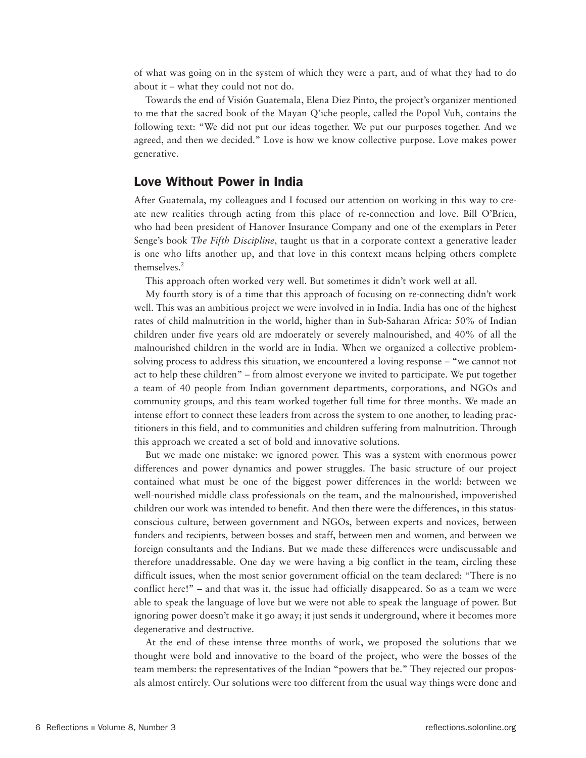of what was going on in the system of which they were a part, and of what they had to do about it – what they could not not do.

 Towards the end of Visión Guatemala, Elena Diez Pinto, the project's organizer mentioned to me that the sacred book of the Mayan Q'iche people, called the Popol Vuh, contains the following text: "We did not put our ideas together. We put our purposes together. And we agreed, and then we decided." Love is how we know collective purpose. Love makes power generative.

#### Love Without Power in India

After Guatemala, my colleagues and I focused our attention on working in this way to create new realities through acting from this place of re-connection and love. Bill O'Brien, who had been president of Hanover Insurance Company and one of the exemplars in Peter Senge's book *The Fifth Discipline*, taught us that in a corporate context a generative leader is one who lifts another up, and that love in this context means helping others complete themselves.<sup>2</sup>

This approach often worked very well. But sometimes it didn't work well at all.

My fourth story is of a time that this approach of focusing on re-connecting didn't work well. This was an ambitious project we were involved in in India. India has one of the highest rates of child malnutrition in the world, higher than in Sub-Saharan Africa: 50% of Indian children under five years old are mdoerately or severely malnourished, and 40% of all the malnourished children in the world are in India. When we organized a collective problemsolving process to address this situation, we encountered a loving response – "we cannot not act to help these children" – from almost everyone we invited to participate. We put together a team of 40 people from Indian government departments, corporations, and NGOs and community groups, and this team worked together full time for three months. We made an intense effort to connect these leaders from across the system to one another, to leading practitioners in this field, and to communities and children suffering from malnutrition. Through this approach we created a set of bold and innovative solutions.

But we made one mistake: we ignored power. This was a system with enormous power differences and power dynamics and power struggles. The basic structure of our project contained what must be one of the biggest power differences in the world: between we well-nourished middle class professionals on the team, and the malnourished, impoverished children our work was intended to benefit. And then there were the differences, in this statusconscious culture, between government and NGOs, between experts and novices, between funders and recipients, between bosses and staff, between men and women, and between we foreign consultants and the Indians. But we made these differences were undiscussable and therefore unaddressable. One day we were having a big conflict in the team, circling these difficult issues, when the most senior government official on the team declared: "There is no conflict here!" – and that was it, the issue had officially disappeared. So as a team we were able to speak the language of love but we were not able to speak the language of power. But ignoring power doesn't make it go away; it just sends it underground, where it becomes more degenerative and destructive.

 At the end of these intense three months of work, we proposed the solutions that we thought were bold and innovative to the board of the project, who were the bosses of the team members: the representatives of the Indian "powers that be." They rejected our proposals almost entirely. Our solutions were too different from the usual way things were done and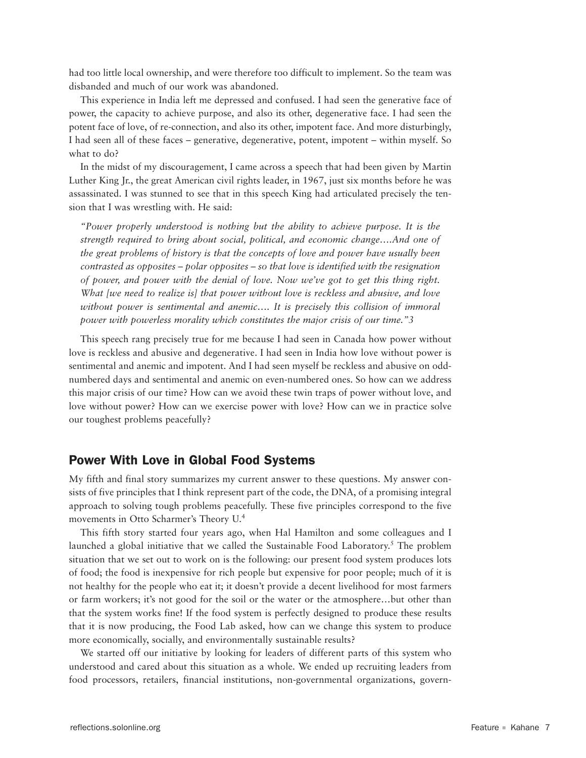had too little local ownership, and were therefore too difficult to implement. So the team was disbanded and much of our work was abandoned.

 This experience in India left me depressed and confused. I had seen the generative face of power, the capacity to achieve purpose, and also its other, degenerative face. I had seen the potent face of love, of re-connection, and also its other, impotent face. And more disturbingly, I had seen all of these faces – generative, degenerative, potent, impotent – within myself. So what to do?

In the midst of my discouragement, I came across a speech that had been given by Martin Luther King Jr., the great American civil rights leader, in 1967, just six months before he was assassinated. I was stunned to see that in this speech King had articulated precisely the tension that I was wrestling with. He said:

*"Power properly understood is nothing but the ability to achieve purpose. It is the strength required to bring about social, political, and economic change….And one of the great problems of history is that the concepts of love and power have usually been contrasted as opposites – polar opposites – so that love is identified with the resignation of power, and power with the denial of love. Now we've got to get this thing right. What [we need to realize is] that power without love is reckless and abusive, and love without power is sentimental and anemic…. It is precisely this collision of immoral power with powerless morality which constitutes the major crisis of our time."3*

This speech rang precisely true for me because I had seen in Canada how power without love is reckless and abusive and degenerative. I had seen in India how love without power is sentimental and anemic and impotent. And I had seen myself be reckless and abusive on oddnumbered days and sentimental and anemic on even-numbered ones. So how can we address this major crisis of our time? How can we avoid these twin traps of power without love, and love without power? How can we exercise power with love? How can we in practice solve our toughest problems peacefully?

### Power With Love in Global Food Systems

My fifth and final story summarizes my current answer to these questions. My answer consists of five principles that I think represent part of the code, the DNA, of a promising integral approach to solving tough problems peacefully. These five principles correspond to the five movements in Otto Scharmer's Theory U. 4

 This fifth story started four years ago, when Hal Hamilton and some colleagues and I launched a global initiative that we called the Sustainable Food Laboratory.<sup>5</sup> The problem situation that we set out to work on is the following: our present food system produces lots of food; the food is inexpensive for rich people but expensive for poor people; much of it is not healthy for the people who eat it; it doesn't provide a decent livelihood for most farmers or farm workers; it's not good for the soil or the water or the atmosphere…but other than that the system works fine! If the food system is perfectly designed to produce these results that it is now producing, the Food Lab asked, how can we change this system to produce more economically, socially, and environmentally sustainable results?

 We started off our initiative by looking for leaders of different parts of this system who understood and cared about this situation as a whole. We ended up recruiting leaders from food processors, retailers, financial institutions, non-governmental organizations, govern-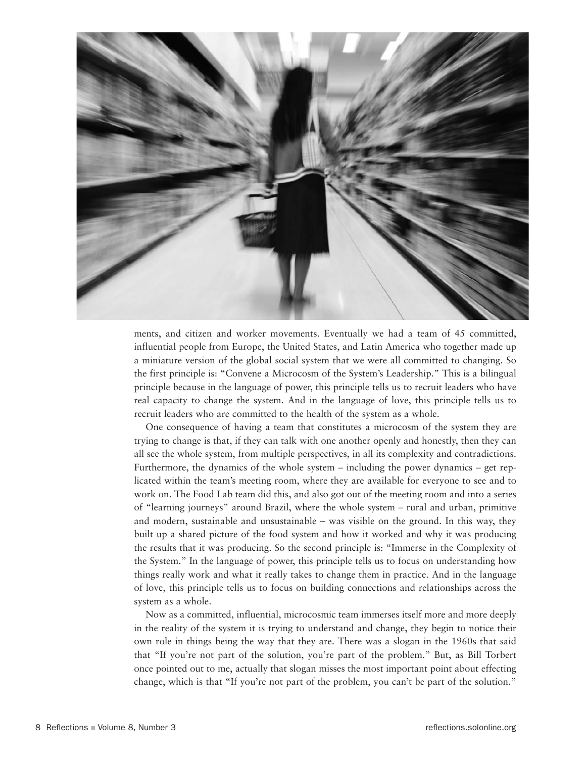

ments, and citizen and worker movements. Eventually we had a team of 45 committed, influential people from Europe, the United States, and Latin America who together made up a miniature version of the global social system that we were all committed to changing. So the first principle is: "Convene a Microcosm of the System's Leadership." This is a bilingual principle because in the language of power, this principle tells us to recruit leaders who have real capacity to change the system. And in the language of love, this principle tells us to recruit leaders who are committed to the health of the system as a whole.

One consequence of having a team that constitutes a microcosm of the system they are trying to change is that, if they can talk with one another openly and honestly, then they can all see the whole system, from multiple perspectives, in all its complexity and contradictions. Furthermore, the dynamics of the whole system – including the power dynamics – get replicated within the team's meeting room, where they are available for everyone to see and to work on. The Food Lab team did this, and also got out of the meeting room and into a series of "learning journeys" around Brazil, where the whole system – rural and urban, primitive and modern, sustainable and unsustainable – was visible on the ground. In this way, they built up a shared picture of the food system and how it worked and why it was producing the results that it was producing. So the second principle is: "Immerse in the Complexity of the System." In the language of power, this principle tells us to focus on understanding how things really work and what it really takes to change them in practice. And in the language of love, this principle tells us to focus on building connections and relationships across the system as a whole.

 Now as a committed, influential, microcosmic team immerses itself more and more deeply in the reality of the system it is trying to understand and change, they begin to notice their own role in things being the way that they are. There was a slogan in the 1960s that said that "If you're not part of the solution, you're part of the problem." But, as Bill Torbert once pointed out to me, actually that slogan misses the most important point about effecting change, which is that "If you're not part of the problem, you can't be part of the solution."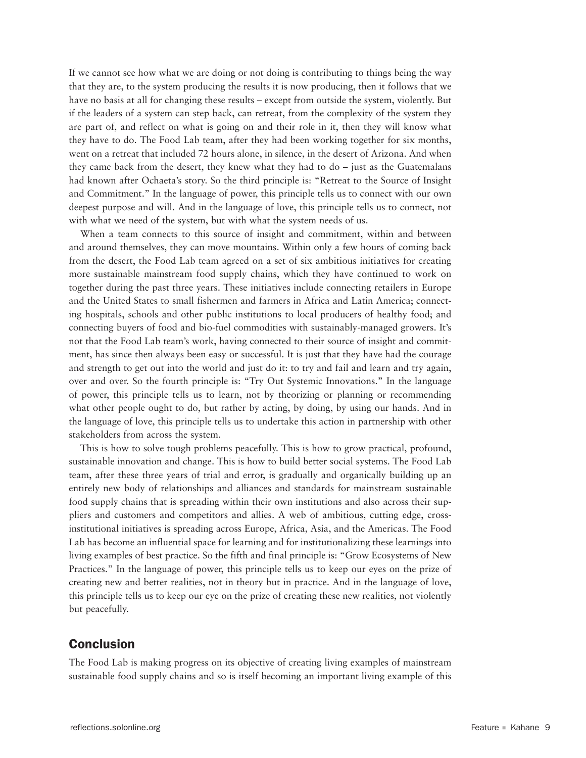If we cannot see how what we are doing or not doing is contributing to things being the way that they are, to the system producing the results it is now producing, then it follows that we have no basis at all for changing these results – except from outside the system, violently. But if the leaders of a system can step back, can retreat, from the complexity of the system they are part of, and reflect on what is going on and their role in it, then they will know what they have to do. The Food Lab team, after they had been working together for six months, went on a retreat that included 72 hours alone, in silence, in the desert of Arizona. And when they came back from the desert, they knew what they had to do – just as the Guatemalans had known after Ochaeta's story. So the third principle is: "Retreat to the Source of Insight and Commitment." In the language of power, this principle tells us to connect with our own deepest purpose and will. And in the language of love, this principle tells us to connect, not with what we need of the system, but with what the system needs of us.

When a team connects to this source of insight and commitment, within and between and around themselves, they can move mountains. Within only a few hours of coming back from the desert, the Food Lab team agreed on a set of six ambitious initiatives for creating more sustainable mainstream food supply chains, which they have continued to work on together during the past three years. These initiatives include connecting retailers in Europe and the United States to small fishermen and farmers in Africa and Latin America; connecting hospitals, schools and other public institutions to local producers of healthy food; and connecting buyers of food and bio-fuel commodities with sustainably-managed growers. It's not that the Food Lab team's work, having connected to their source of insight and commitment, has since then always been easy or successful. It is just that they have had the courage and strength to get out into the world and just do it: to try and fail and learn and try again, over and over. So the fourth principle is: "Try Out Systemic Innovations." In the language of power, this principle tells us to learn, not by theorizing or planning or recommending what other people ought to do, but rather by acting, by doing, by using our hands. And in the language of love, this principle tells us to undertake this action in partnership with other stakeholders from across the system.

 This is how to solve tough problems peacefully. This is how to grow practical, profound, sustainable innovation and change. This is how to build better social systems. The Food Lab team, after these three years of trial and error, is gradually and organically building up an entirely new body of relationships and alliances and standards for mainstream sustainable food supply chains that is spreading within their own institutions and also across their suppliers and customers and competitors and allies. A web of ambitious, cutting edge, crossinstitutional initiatives is spreading across Europe, Africa, Asia, and the Americas. The Food Lab has become an influential space for learning and for institutionalizing these learnings into living examples of best practice. So the fifth and final principle is: "Grow Ecosystems of New Practices." In the language of power, this principle tells us to keep our eyes on the prize of creating new and better realities, not in theory but in practice. And in the language of love, this principle tells us to keep our eye on the prize of creating these new realities, not violently but peacefully.

# Conclusion

The Food Lab is making progress on its objective of creating living examples of mainstream sustainable food supply chains and so is itself becoming an important living example of this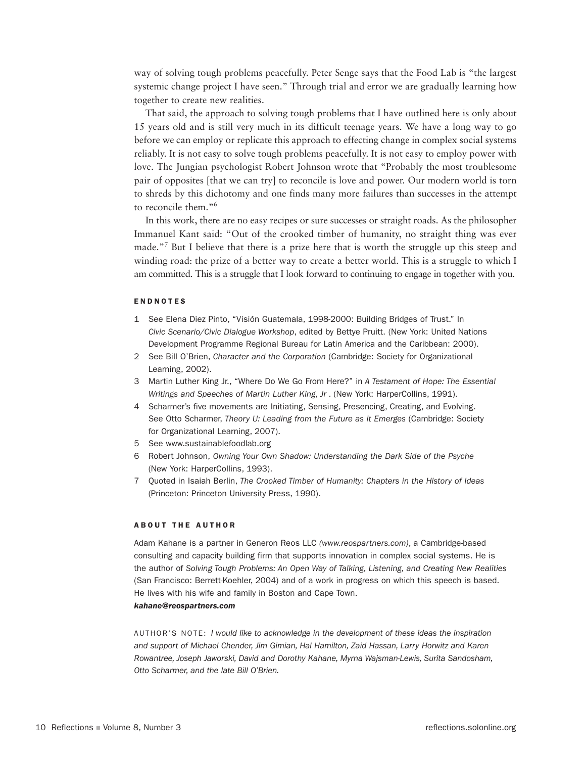way of solving tough problems peacefully. Peter Senge says that the Food Lab is "the largest systemic change project I have seen." Through trial and error we are gradually learning how together to create new realities.

 That said, the approach to solving tough problems that I have outlined here is only about 15 years old and is still very much in its difficult teenage years. We have a long way to go before we can employ or replicate this approach to effecting change in complex social systems reliably. It is not easy to solve tough problems peacefully. It is not easy to employ power with love. The Jungian psychologist Robert Johnson wrote that "Probably the most troublesome pair of opposites [that we can try] to reconcile is love and power. Our modern world is torn to shreds by this dichotomy and one finds many more failures than successes in the attempt to reconcile them."6

 In this work, there are no easy recipes or sure successes or straight roads. As the philosopher Immanuel Kant said: "Out of the crooked timber of humanity, no straight thing was ever made."<sup>7</sup> But I believe that there is a prize here that is worth the struggle up this steep and winding road: the prize of a better way to create a better world. This is a struggle to which I am committed. This is a struggle that I look forward to continuing to engage in together with you.

#### **ENDNOTES**

- 1 See Elena Diez Pinto, "Visión Guatemala, 1998-2000: Building Bridges of Trust." In *Civic Scenario/Civic Dialogue Workshop*, edited by Bettye Pruitt. (New York: United Nations Development Programme Regional Bureau for Latin America and the Caribbean: 2000).
- 2 See Bill O'Brien, *Character and the Corporation* (Cambridge: Society for Organizational Learning, 2002).
- 3 Martin Luther King Jr., "Where Do We Go From Here?" in *A Testament of Hope: The Essential*  Writings and Speeches of Martin Luther King, Jr. (New York: HarperCollins, 1991).
- 4 Scharmer's five movements are Initiating, Sensing, Presencing, Creating, and Evolving. See Otto Scharmer, *Theory U: Leading from the Future as it Emerges* (Cambridge: Society for Organizational Learning, 2007).
- 5 See www.sustainablefoodlab.org
- 6 Robert Johnson, *Owning Your Own Shadow: Understanding the Dark Side of the Psyche*  (New York: HarperCollins, 1993).
- 7 Quoted in Isaiah Berlin, *The Crooked Timber of Humanity: Chapters in the History of Ideas*  (Princeton: Princeton University Press, 1990).

#### **ABOUT THE AUTHOR**

Adam Kahane is a partner in Generon Reos LLC *(www.reospartners.com)*, a Cambridge-based consulting and capacity building firm that supports innovation in complex social systems. He is the author of *Solving Tough Problems: An Open Way of Talking, Listening, and Creating New Realities*  (San Francisco: Berrett-Koehler, 2004) and of a work in progress on which this speech is based. He lives with his wife and family in Boston and Cape Town.

#### *kahane@reospartners.com*

Author's Note: *I would like to acknowledge in the development of these ideas the inspiration and support of Michael Chender, Jim Gimian, Hal Hamilton, Zaid Hassan, Larry Horwitz and Karen Rowantree, Joseph Jaworski, David and Dorothy Kahane, Myrna Wajsman-Lewis, Surita Sandosham, Otto Scharmer, and the late Bill O'Brien.*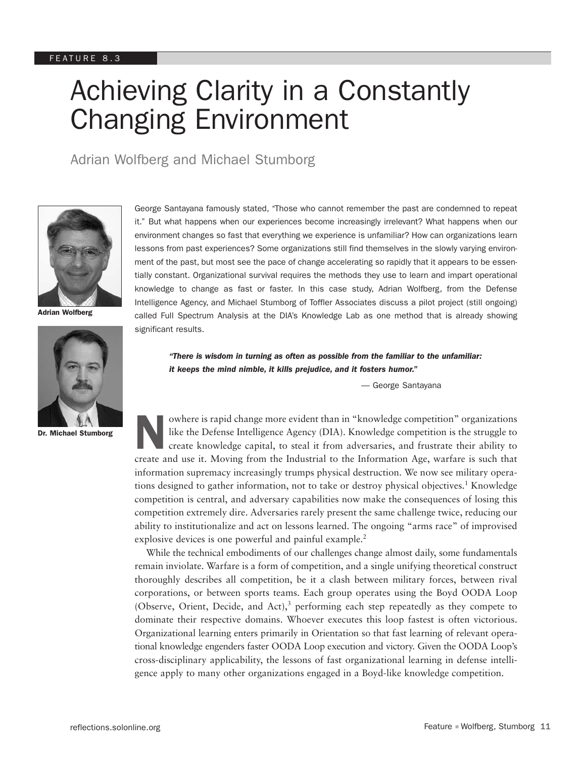# Achieving Clarity in a Constantly Changing Environment

Adrian Wolfberg and Michael Stumborg



Adrian Wolfberg



Dr. Michael Stumborg

George Santayana famously stated, *"*Those who cannot remember the past are condemned to repeat it." But what happens when our experiences become increasingly irrelevant? What happens when our environment changes so fast that everything we experience is unfamiliar? How can organizations learn lessons from past experiences? Some organizations still find themselves in the slowly varying environment of the past, but most see the pace of change accelerating so rapidly that it appears to be essentially constant. Organizational survival requires the methods they use to learn and impart operational knowledge to change as fast or faster. In this case study, Adrian Wolfberg, from the Defense Intelligence Agency, and Michael Stumborg of Toffler Associates discuss a pilot project (still ongoing) called Full Spectrum Analysis at the DIA's Knowledge Lab as one method that is already showing significant results.

*"There is wisdom in turning as often as possible from the familiar to the unfamiliar: it keeps the mind nimble, it kills prejudice, and it fosters humor."* 

— George Santayana

Nowhere is rapid change more evident than in "knowledge competition" organizations<br>like the Defense Intelligence Agency (DIA). Knowledge competition is the struggle to<br>create knowledge capital, to steal it from adversaries like the Defense Intelligence Agency (DIA). Knowledge competition is the struggle to create knowledge capital, to steal it from adversaries, and frustrate their ability to create and use it. Moving from the Industrial to the Information Age, warfare is such that information supremacy increasingly trumps physical destruction. We now see military operations designed to gather information, not to take or destroy physical objectives.<sup>1</sup> Knowledge competition is central, and adversary capabilities now make the consequences of losing this competition extremely dire. Adversaries rarely present the same challenge twice, reducing our ability to institutionalize and act on lessons learned. The ongoing "arms race" of improvised explosive devices is one powerful and painful example.<sup>2</sup>

While the technical embodiments of our challenges change almost daily, some fundamentals remain inviolate. Warfare is a form of competition, and a single unifying theoretical construct thoroughly describes all competition, be it a clash between military forces, between rival corporations, or between sports teams. Each group operates using the Boyd OODA Loop (Observe, Orient, Decide, and Act),<sup>3</sup> performing each step repeatedly as they compete to dominate their respective domains. Whoever executes this loop fastest is often victorious. Organizational learning enters primarily in Orientation so that fast learning of relevant operational knowledge engenders faster OODA Loop execution and victory. Given the OODA Loop's cross-disciplinary applicability, the lessons of fast organizational learning in defense intelligence apply to many other organizations engaged in a Boyd-like knowledge competition.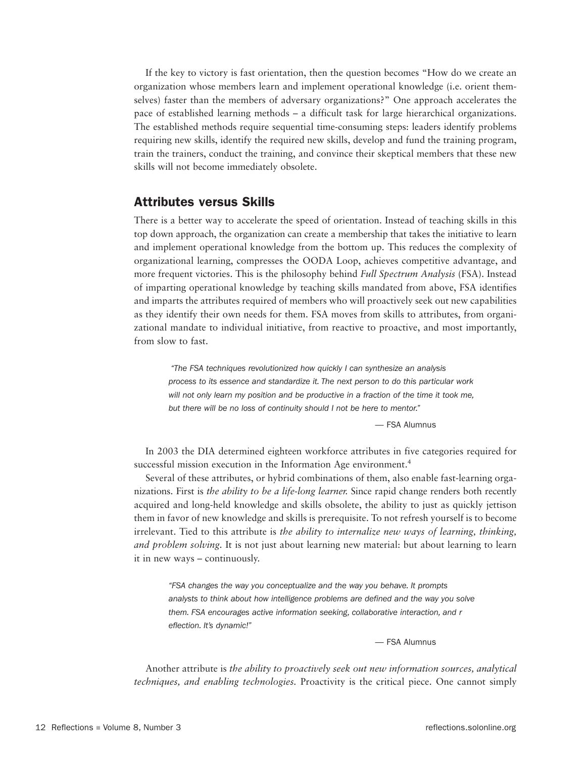If the key to victory is fast orientation, then the question becomes "How do we create an organization whose members learn and implement operational knowledge (i.e. orient themselves) faster than the members of adversary organizations?" One approach accelerates the pace of established learning methods – a difficult task for large hierarchical organizations. The established methods require sequential time-consuming steps: leaders identify problems requiring new skills, identify the required new skills, develop and fund the training program, train the trainers, conduct the training, and convince their skeptical members that these new skills will not become immediately obsolete.

### Attributes versus Skills

There is a better way to accelerate the speed of orientation. Instead of teaching skills in this top down approach, the organization can create a membership that takes the initiative to learn and implement operational knowledge from the bottom up. This reduces the complexity of organizational learning, compresses the OODA Loop, achieves competitive advantage, and more frequent victories. This is the philosophy behind *Full Spectrum Analysis* (FSA). Instead of imparting operational knowledge by teaching skills mandated from above, FSA identifies and imparts the attributes required of members who will proactively seek out new capabilities as they identify their own needs for them. FSA moves from skills to attributes, from organizational mandate to individual initiative, from reactive to proactive, and most importantly, from slow to fast.

 *"The FSA techniques revolutionized how quickly I can synthesize an analysis process to its essence and standardize it. The next person to do this particular work will not only learn my position and be productive in a fraction of the time it took me, but there will be no loss of continuity should I not be here to mentor."*

— FSA Alumnus

In 2003 the DIA determined eighteen workforce attributes in five categories required for successful mission execution in the Information Age environment.<sup>4</sup>

Several of these attributes, or hybrid combinations of them, also enable fast-learning organizations. First is *the ability to be a life-long learner.* Since rapid change renders both recently acquired and long-held knowledge and skills obsolete, the ability to just as quickly jettison them in favor of new knowledge and skills is prerequisite. To not refresh yourself is to become irrelevant. Tied to this attribute is *the ability to internalize new ways of learning, thinking, and problem solving.* It is not just about learning new material: but about learning to learn it in new ways – continuously.

*"FSA changes the way you conceptualize and the way you behave. It prompts analysts to think about how intelligence problems are defined and the way you solve them. FSA encourages active information seeking, collaborative interaction, and r eflection. It's dynamic!"*

— FSA Alumnus

Another attribute is *the ability to proactively seek out new information sources, analytical techniques, and enabling technologies.* Proactivity is the critical piece. One cannot simply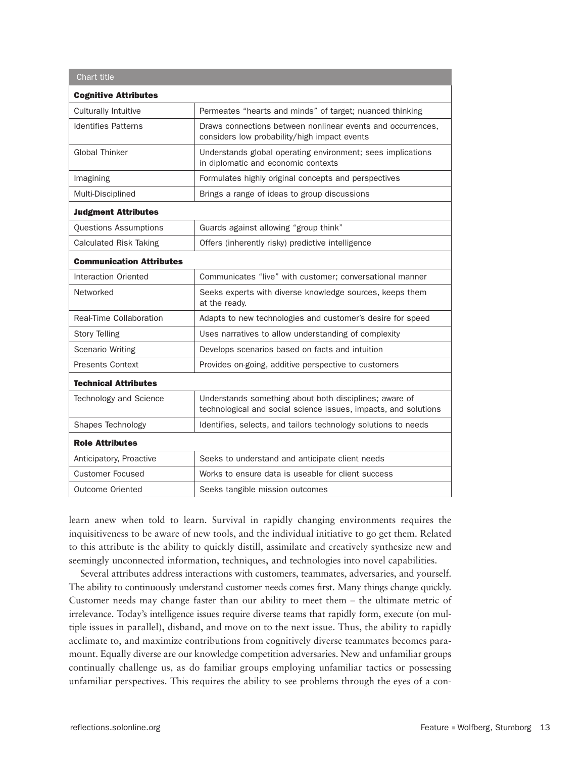| Chart title                     |                                                                                                                           |  |  |  |  |  |
|---------------------------------|---------------------------------------------------------------------------------------------------------------------------|--|--|--|--|--|
| <b>Cognitive Attributes</b>     |                                                                                                                           |  |  |  |  |  |
| Culturally Intuitive            | Permeates "hearts and minds" of target; nuanced thinking                                                                  |  |  |  |  |  |
| <b>Identifies Patterns</b>      | Draws connections between nonlinear events and occurrences,<br>considers low probability/high impact events               |  |  |  |  |  |
| <b>Global Thinker</b>           | Understands global operating environment; sees implications<br>in diplomatic and economic contexts                        |  |  |  |  |  |
| Imagining                       | Formulates highly original concepts and perspectives                                                                      |  |  |  |  |  |
| Multi-Disciplined               | Brings a range of ideas to group discussions                                                                              |  |  |  |  |  |
| <b>Judgment Attributes</b>      |                                                                                                                           |  |  |  |  |  |
| <b>Questions Assumptions</b>    | Guards against allowing "group think"                                                                                     |  |  |  |  |  |
| <b>Calculated Risk Taking</b>   | Offers (inherently risky) predictive intelligence                                                                         |  |  |  |  |  |
| <b>Communication Attributes</b> |                                                                                                                           |  |  |  |  |  |
| Interaction Oriented            | Communicates "live" with customer; conversational manner                                                                  |  |  |  |  |  |
| Networked                       | Seeks experts with diverse knowledge sources, keeps them<br>at the ready.                                                 |  |  |  |  |  |
| Real-Time Collaboration         | Adapts to new technologies and customer's desire for speed                                                                |  |  |  |  |  |
| <b>Story Telling</b>            | Uses narratives to allow understanding of complexity                                                                      |  |  |  |  |  |
| <b>Scenario Writing</b>         | Develops scenarios based on facts and intuition                                                                           |  |  |  |  |  |
| <b>Presents Context</b>         | Provides on-going, additive perspective to customers                                                                      |  |  |  |  |  |
| <b>Technical Attributes</b>     |                                                                                                                           |  |  |  |  |  |
| Technology and Science          | Understands something about both disciplines; aware of<br>technological and social science issues, impacts, and solutions |  |  |  |  |  |
| Shapes Technology               | Identifies, selects, and tailors technology solutions to needs                                                            |  |  |  |  |  |
| <b>Role Attributes</b>          |                                                                                                                           |  |  |  |  |  |
| Anticipatory, Proactive         | Seeks to understand and anticipate client needs                                                                           |  |  |  |  |  |
| <b>Customer Focused</b>         | Works to ensure data is useable for client success                                                                        |  |  |  |  |  |
| <b>Outcome Oriented</b>         | Seeks tangible mission outcomes                                                                                           |  |  |  |  |  |

learn anew when told to learn. Survival in rapidly changing environments requires the inquisitiveness to be aware of new tools, and the individual initiative to go get them. Related to this attribute is the ability to quickly distill, assimilate and creatively synthesize new and seemingly unconnected information, techniques, and technologies into novel capabilities.

Several attributes address interactions with customers, teammates, adversaries, and yourself. The ability to continuously understand customer needs comes first. Many things change quickly. Customer needs may change faster than our ability to meet them – the ultimate metric of irrelevance. Today's intelligence issues require diverse teams that rapidly form, execute (on multiple issues in parallel), disband, and move on to the next issue. Thus, the ability to rapidly acclimate to, and maximize contributions from cognitively diverse teammates becomes paramount. Equally diverse are our knowledge competition adversaries. New and unfamiliar groups continually challenge us, as do familiar groups employing unfamiliar tactics or possessing unfamiliar perspectives. This requires the ability to see problems through the eyes of a con-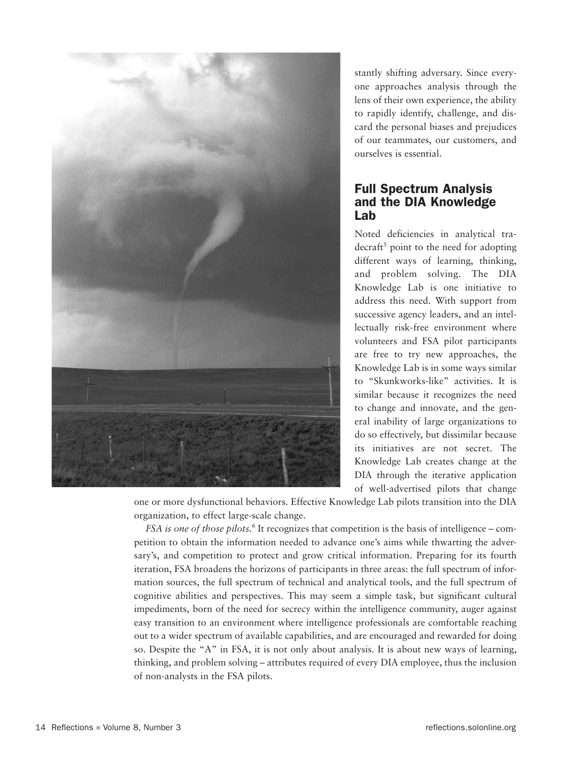

stantly shifting adversary. Since everyone approaches analysis through the lens of their own experience, the ability to rapidly identify, challenge, and discard the personal biases and prejudices of our teammates, our customers, and ourselves is essential.

# Full Spectrum Analysis and the DIA Knowledge Lab

Noted deficiencies in analytical tra- $\frac{decraft^5}{2}$  point to the need for adopting different ways of learning, thinking, and problem solving. The DIA Knowledge Lab is one initiative to address this need. With support from successive agency leaders, and an intellectually risk-free environment where volunteers and FSA pilot participants are free to try new approaches, the Knowledge Lab is in some ways similar to "Skunkworks-like" activities. It is similar because it recognizes the need to change and innovate, and the general inability of large organizations to do so effectively, but dissimilar because its initiatives are not secret. The Knowledge Lab creates change at the DIA through the iterative application of well-advertised pilots that change

one or more dysfunctional behaviors. Effective Knowledge Lab pilots transition into the DIA organization, to effect large-scale change.

*FSA is one of those pilots.*<sup>6</sup> It recognizes that competition is the basis of intelligence – competition to obtain the information needed to advance one's aims while thwarting the adversary's, and competition to protect and grow critical information. Preparing for its fourth iteration, FSA broadens the horizons of participants in three areas: the full spectrum of information sources, the full spectrum of technical and analytical tools, and the full spectrum of cognitive abilities and perspectives. This may seem a simple task, but significant cultural impediments, born of the need for secrecy within the intelligence community, auger against easy transition to an environment where intelligence professionals are comfortable reaching out to a wider spectrum of available capabilities, and are encouraged and rewarded for doing so. Despite the "A" in FSA, it is not only about analysis. It is about new ways of learning, thinking, and problem solving – attributes required of every DIA employee, thus the inclusion of non-analysts in the FSA pilots.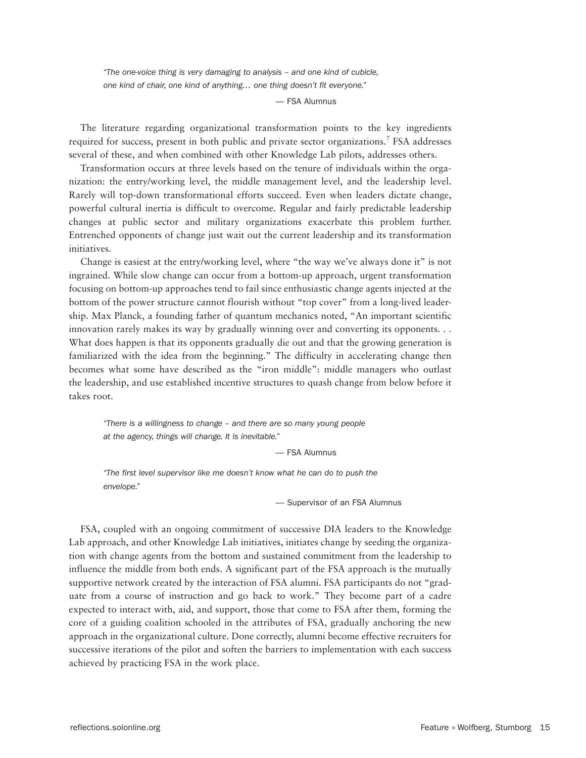*"The one-voice thing is very damaging to analysis – and one kind of cubicle, one kind of chair, one kind of anything… one thing doesn't fit everyone."*

— FSA Alumnus

The literature regarding organizational transformation points to the key ingredients required for success, present in both public and private sector organizations.<sup>7</sup> FSA addresses several of these, and when combined with other Knowledge Lab pilots, addresses others.

Transformation occurs at three levels based on the tenure of individuals within the organization: the entry/working level, the middle management level, and the leadership level. Rarely will top-down transformational efforts succeed. Even when leaders dictate change, powerful cultural inertia is difficult to overcome. Regular and fairly predictable leadership changes at public sector and military organizations exacerbate this problem further. Entrenched opponents of change just wait out the current leadership and its transformation initiatives.

Change is easiest at the entry/working level, where "the way we've always done it" is not ingrained. While slow change can occur from a bottom-up approach, urgent transformation focusing on bottom-up approaches tend to fail since enthusiastic change agents injected at the bottom of the power structure cannot flourish without "top cover" from a long-lived leadership. Max Planck, a founding father of quantum mechanics noted, "An important scientific innovation rarely makes its way by gradually winning over and converting its opponents. . . What does happen is that its opponents gradually die out and that the growing generation is familiarized with the idea from the beginning." The difficulty in accelerating change then becomes what some have described as the "iron middle": middle managers who outlast the leadership, and use established incentive structures to quash change from below before it takes root.

*"There is a willingness to change – and there are so many young people at the agency, things will change. It is inevitable."*

— FSA Alumnus

*"The first level supervisor like me doesn't know what he can do to push the envelope."*

— Supervisor of an FSA Alumnus

FSA, coupled with an ongoing commitment of successive DIA leaders to the Knowledge Lab approach, and other Knowledge Lab initiatives, initiates change by seeding the organization with change agents from the bottom and sustained commitment from the leadership to influence the middle from both ends. A significant part of the FSA approach is the mutually supportive network created by the interaction of FSA alumni. FSA participants do not "graduate from a course of instruction and go back to work." They become part of a cadre expected to interact with, aid, and support, those that come to FSA after them, forming the core of a guiding coalition schooled in the attributes of FSA, gradually anchoring the new approach in the organizational culture. Done correctly, alumni become effective recruiters for successive iterations of the pilot and soften the barriers to implementation with each success achieved by practicing FSA in the work place.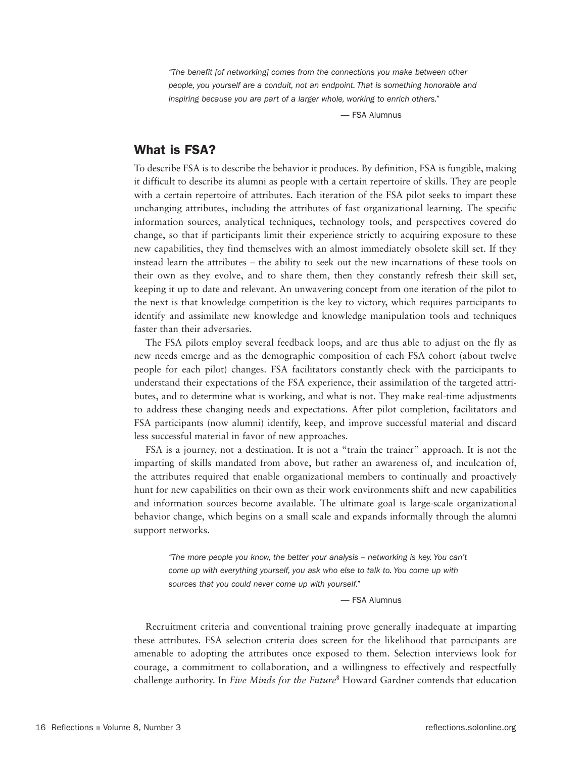*"The benefit [of networking] comes from the connections you make between other people, you yourself are a conduit, not an endpoint. That is something honorable and inspiring because you are part of a larger whole, working to enrich others."*

— FSA Alumnus

# What is FSA?

To describe FSA is to describe the behavior it produces. By definition, FSA is fungible, making it difficult to describe its alumni as people with a certain repertoire of skills. They are people with a certain repertoire of attributes. Each iteration of the FSA pilot seeks to impart these unchanging attributes, including the attributes of fast organizational learning. The specific information sources, analytical techniques, technology tools, and perspectives covered do change, so that if participants limit their experience strictly to acquiring exposure to these new capabilities, they find themselves with an almost immediately obsolete skill set. If they instead learn the attributes – the ability to seek out the new incarnations of these tools on their own as they evolve, and to share them, then they constantly refresh their skill set, keeping it up to date and relevant. An unwavering concept from one iteration of the pilot to the next is that knowledge competition is the key to victory, which requires participants to identify and assimilate new knowledge and knowledge manipulation tools and techniques faster than their adversaries.

The FSA pilots employ several feedback loops, and are thus able to adjust on the fly as new needs emerge and as the demographic composition of each FSA cohort (about twelve people for each pilot) changes. FSA facilitators constantly check with the participants to understand their expectations of the FSA experience, their assimilation of the targeted attributes, and to determine what is working, and what is not. They make real-time adjustments to address these changing needs and expectations. After pilot completion, facilitators and FSA participants (now alumni) identify, keep, and improve successful material and discard less successful material in favor of new approaches.

FSA is a journey, not a destination. It is not a "train the trainer" approach. It is not the imparting of skills mandated from above, but rather an awareness of, and inculcation of, the attributes required that enable organizational members to continually and proactively hunt for new capabilities on their own as their work environments shift and new capabilities and information sources become available. The ultimate goal is large-scale organizational behavior change, which begins on a small scale and expands informally through the alumni support networks.

*"The more people you know, the better your analysis – networking is key. You can't come up with everything yourself, you ask who else to talk to. You come up with sources that you could never come up with yourself."*

— FSA Alumnus

Recruitment criteria and conventional training prove generally inadequate at imparting these attributes. FSA selection criteria does screen for the likelihood that participants are amenable to adopting the attributes once exposed to them. Selection interviews look for courage, a commitment to collaboration, and a willingness to effectively and respectfully challenge authority. In *Five Minds for the Future*<sup>8</sup> Howard Gardner contends that education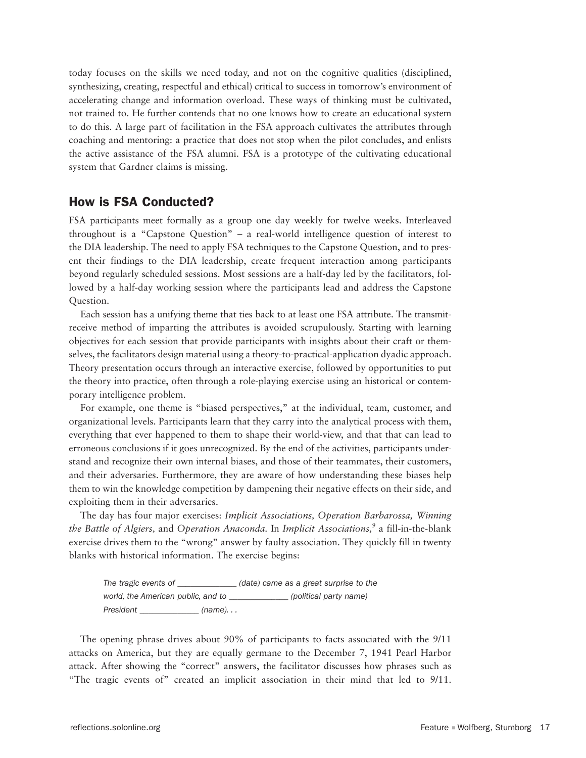today focuses on the skills we need today, and not on the cognitive qualities (disciplined, synthesizing, creating, respectful and ethical) critical to success in tomorrow's environment of accelerating change and information overload. These ways of thinking must be cultivated, not trained to. He further contends that no one knows how to create an educational system to do this. A large part of facilitation in the FSA approach cultivates the attributes through coaching and mentoring: a practice that does not stop when the pilot concludes, and enlists the active assistance of the FSA alumni. FSA is a prototype of the cultivating educational system that Gardner claims is missing.

# How is FSA Conducted?

FSA participants meet formally as a group one day weekly for twelve weeks. Interleaved throughout is a "Capstone Question" – a real-world intelligence question of interest to the DIA leadership. The need to apply FSA techniques to the Capstone Question, and to present their findings to the DIA leadership, create frequent interaction among participants beyond regularly scheduled sessions. Most sessions are a half-day led by the facilitators, followed by a half-day working session where the participants lead and address the Capstone Question.

Each session has a unifying theme that ties back to at least one FSA attribute. The transmitreceive method of imparting the attributes is avoided scrupulously. Starting with learning objectives for each session that provide participants with insights about their craft or themselves, the facilitators design material using a theory-to-practical-application dyadic approach. Theory presentation occurs through an interactive exercise, followed by opportunities to put the theory into practice, often through a role-playing exercise using an historical or contemporary intelligence problem.

For example, one theme is "biased perspectives," at the individual, team, customer, and organizational levels. Participants learn that they carry into the analytical process with them, everything that ever happened to them to shape their world-view, and that that can lead to erroneous conclusions if it goes unrecognized. By the end of the activities, participants understand and recognize their own internal biases, and those of their teammates, their customers, and their adversaries. Furthermore, they are aware of how understanding these biases help them to win the knowledge competition by dampening their negative effects on their side, and exploiting them in their adversaries.

The day has four major exercises: *Implicit Associations, Operation Barbarossa, Winning the Battle of Algiers,* and *Operation Anaconda.* In *Implicit Associations,*<sup>9</sup> a fill-in-the-blank exercise drives them to the "wrong" answer by faulty association. They quickly fill in twenty blanks with historical information. The exercise begins:

*The tragic events of \_\_\_\_\_\_\_\_\_\_\_\_\_\_ (date) came as a great surprise to the world, the American public, and to \_\_\_\_\_\_\_\_\_\_\_\_\_\_ (political party name) President \_\_\_\_\_\_\_\_\_\_\_\_\_\_ (name). . .*

The opening phrase drives about 90% of participants to facts associated with the 9/11 attacks on America, but they are equally germane to the December 7, 1941 Pearl Harbor attack. After showing the "correct" answers, the facilitator discusses how phrases such as "The tragic events of" created an implicit association in their mind that led to 9/11.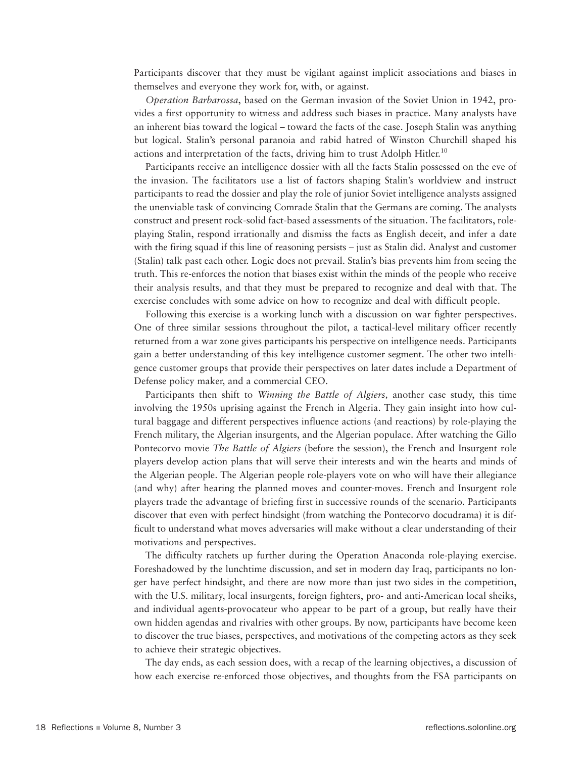Participants discover that they must be vigilant against implicit associations and biases in themselves and everyone they work for, with, or against.

*Operation Barbarossa*, based on the German invasion of the Soviet Union in 1942, provides a first opportunity to witness and address such biases in practice. Many analysts have an inherent bias toward the logical – toward the facts of the case. Joseph Stalin was anything but logical. Stalin's personal paranoia and rabid hatred of Winston Churchill shaped his actions and interpretation of the facts, driving him to trust Adolph Hitler.<sup>10</sup>

Participants receive an intelligence dossier with all the facts Stalin possessed on the eve of the invasion. The facilitators use a list of factors shaping Stalin's worldview and instruct participants to read the dossier and play the role of junior Soviet intelligence analysts assigned the unenviable task of convincing Comrade Stalin that the Germans are coming. The analysts construct and present rock-solid fact-based assessments of the situation. The facilitators, roleplaying Stalin, respond irrationally and dismiss the facts as English deceit, and infer a date with the firing squad if this line of reasoning persists – just as Stalin did. Analyst and customer (Stalin) talk past each other. Logic does not prevail. Stalin's bias prevents him from seeing the truth. This re-enforces the notion that biases exist within the minds of the people who receive their analysis results, and that they must be prepared to recognize and deal with that. The exercise concludes with some advice on how to recognize and deal with difficult people.

Following this exercise is a working lunch with a discussion on war fighter perspectives. One of three similar sessions throughout the pilot, a tactical-level military officer recently returned from a war zone gives participants his perspective on intelligence needs. Participants gain a better understanding of this key intelligence customer segment. The other two intelligence customer groups that provide their perspectives on later dates include a Department of Defense policy maker, and a commercial CEO.

Participants then shift to *Winning the Battle of Algiers,* another case study, this time involving the 1950s uprising against the French in Algeria. They gain insight into how cultural baggage and different perspectives influence actions (and reactions) by role-playing the French military, the Algerian insurgents, and the Algerian populace. After watching the Gillo Pontecorvo movie *The Battle of Algiers* (before the session), the French and Insurgent role players develop action plans that will serve their interests and win the hearts and minds of the Algerian people. The Algerian people role-players vote on who will have their allegiance (and why) after hearing the planned moves and counter-moves. French and Insurgent role players trade the advantage of briefing first in successive rounds of the scenario. Participants discover that even with perfect hindsight (from watching the Pontecorvo docudrama) it is difficult to understand what moves adversaries will make without a clear understanding of their motivations and perspectives.

The difficulty ratchets up further during the Operation Anaconda role-playing exercise. Foreshadowed by the lunchtime discussion, and set in modern day Iraq, participants no longer have perfect hindsight, and there are now more than just two sides in the competition, with the U.S. military, local insurgents, foreign fighters, pro- and anti-American local sheiks, and individual agents-provocateur who appear to be part of a group, but really have their own hidden agendas and rivalries with other groups. By now, participants have become keen to discover the true biases, perspectives, and motivations of the competing actors as they seek to achieve their strategic objectives.

The day ends, as each session does, with a recap of the learning objectives, a discussion of how each exercise re-enforced those objectives, and thoughts from the FSA participants on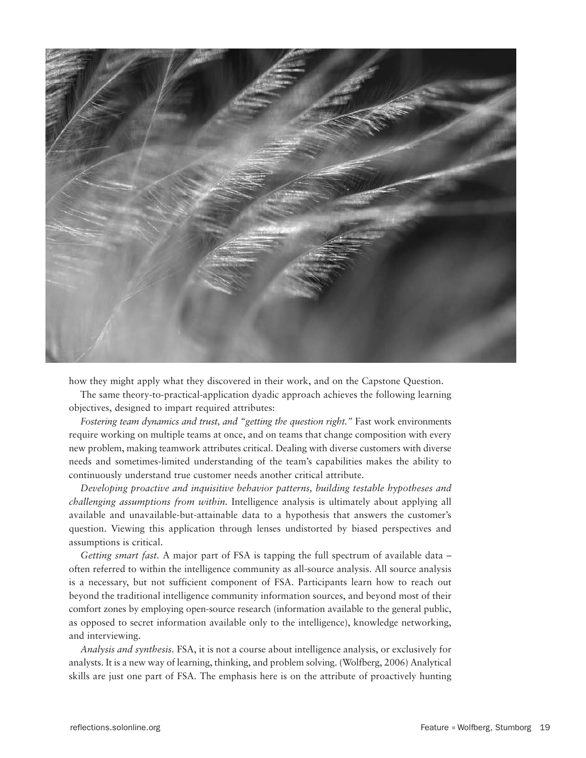

how they might apply what they discovered in their work, and on the Capstone Question.

The same theory-to-practical-application dyadic approach achieves the following learning objectives, designed to impart required attributes:

*Fostering team dynamics and trust, and "getting the question right."* Fast work environments require working on multiple teams at once, and on teams that change composition with every new problem, making teamwork attributes critical. Dealing with diverse customers with diverse needs and sometimes-limited understanding of the team's capabilities makes the ability to continuously understand true customer needs another critical attribute.

*Developing proactive and inquisitive behavior patterns, building testable hypotheses and challenging assumptions from within.* Intelligence analysis is ultimately about applying all available and unavailable-but-attainable data to a hypothesis that answers the customer's question. Viewing this application through lenses undistorted by biased perspectives and assumptions is critical.

*Getting smart fast.* A major part of FSA is tapping the full spectrum of available data – often referred to within the intelligence community as all-source analysis. All source analysis is a necessary, but not sufficient component of FSA. Participants learn how to reach out beyond the traditional intelligence community information sources, and beyond most of their comfort zones by employing open-source research (information available to the general public, as opposed to secret information available only to the intelligence), knowledge networking, and interviewing.

*Analysis and synthesis.* FSA, it is not a course about intelligence analysis, or exclusively for analysts. It is a new way of learning, thinking, and problem solving. (Wolfberg, 2006) Analytical skills are just one part of FSA. The emphasis here is on the attribute of proactively hunting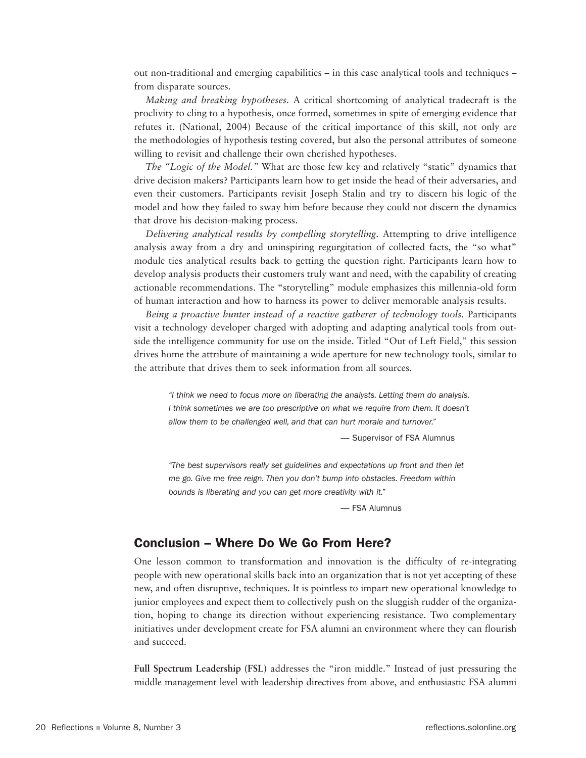out non-traditional and emerging capabilities – in this case analytical tools and techniques – from disparate sources.

*Making and breaking hypotheses.* A critical shortcoming of analytical tradecraft is the proclivity to cling to a hypothesis, once formed, sometimes in spite of emerging evidence that refutes it. (National, 2004) Because of the critical importance of this skill, not only are the methodologies of hypothesis testing covered, but also the personal attributes of someone willing to revisit and challenge their own cherished hypotheses.

*The "Logic of the Model."* What are those few key and relatively "static" dynamics that drive decision makers? Participants learn how to get inside the head of their adversaries, and even their customers. Participants revisit Joseph Stalin and try to discern his logic of the model and how they failed to sway him before because they could not discern the dynamics that drove his decision-making process.

*Delivering analytical results by compelling storytelling.* Attempting to drive intelligence analysis away from a dry and uninspiring regurgitation of collected facts, the "so what" module ties analytical results back to getting the question right. Participants learn how to develop analysis products their customers truly want and need, with the capability of creating actionable recommendations. The "storytelling" module emphasizes this millennia-old form of human interaction and how to harness its power to deliver memorable analysis results.

*Being a proactive hunter instead of a reactive gatherer of technology tools.* Participants visit a technology developer charged with adopting and adapting analytical tools from outside the intelligence community for use on the inside. Titled "Out of Left Field," this session drives home the attribute of maintaining a wide aperture for new technology tools, similar to the attribute that drives them to seek information from all sources.

*"I think we need to focus more on liberating the analysts. Letting them do analysis. I think sometimes we are too prescriptive on what we require from them. It doesn't allow them to be challenged well, and that can hurt morale and turnover."* 

— Supervisor of FSA Alumnus

*"The best supervisors really set guidelines and expectations up front and then let me go. Give me free reign. Then you don't bump into obstacles. Freedom within bounds is liberating and you can get more creativity with it."*

— FSA Alumnus

## Conclusion – Where Do We Go From Here?

One lesson common to transformation and innovation is the difficulty of re-integrating people with new operational skills back into an organization that is not yet accepting of these new, and often disruptive, techniques. It is pointless to impart new operational knowledge to junior employees and expect them to collectively push on the sluggish rudder of the organization, hoping to change its direction without experiencing resistance. Two complementary initiatives under development create for FSA alumni an environment where they can flourish and succeed.

**Full Spectrum Leadership (FSL)** addresses the "iron middle." Instead of just pressuring the middle management level with leadership directives from above, and enthusiastic FSA alumni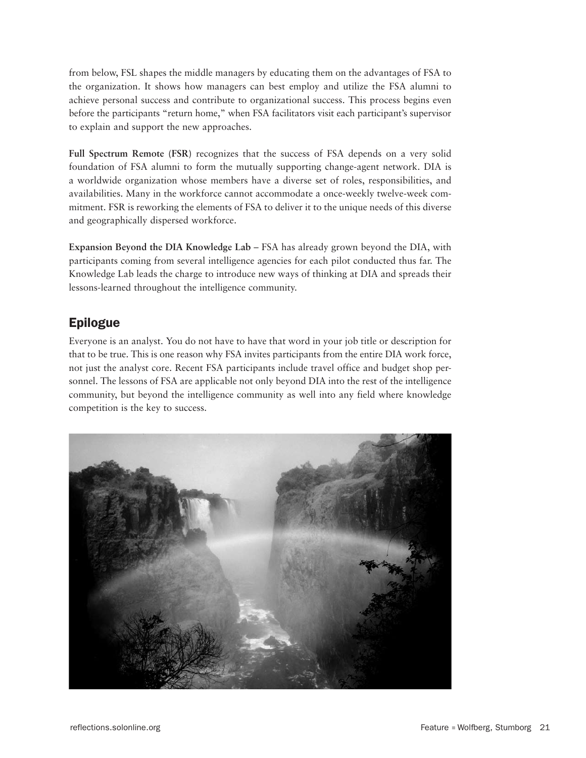from below, FSL shapes the middle managers by educating them on the advantages of FSA to the organization. It shows how managers can best employ and utilize the FSA alumni to achieve personal success and contribute to organizational success. This process begins even before the participants "return home," when FSA facilitators visit each participant's supervisor to explain and support the new approaches.

**Full Spectrum Remote (FSR)** recognizes that the success of FSA depends on a very solid foundation of FSA alumni to form the mutually supporting change-agent network. DIA is a worldwide organization whose members have a diverse set of roles, responsibilities, and availabilities. Many in the workforce cannot accommodate a once-weekly twelve-week commitment. FSR is reworking the elements of FSA to deliver it to the unique needs of this diverse and geographically dispersed workforce.

**Expansion Beyond the DIA Knowledge Lab** – FSA has already grown beyond the DIA, with participants coming from several intelligence agencies for each pilot conducted thus far. The Knowledge Lab leads the charge to introduce new ways of thinking at DIA and spreads their lessons-learned throughout the intelligence community.

# Epilogue

Everyone is an analyst. You do not have to have that word in your job title or description for that to be true. This is one reason why FSA invites participants from the entire DIA work force, not just the analyst core. Recent FSA participants include travel office and budget shop personnel. The lessons of FSA are applicable not only beyond DIA into the rest of the intelligence community, but beyond the intelligence community as well into any field where knowledge competition is the key to success.

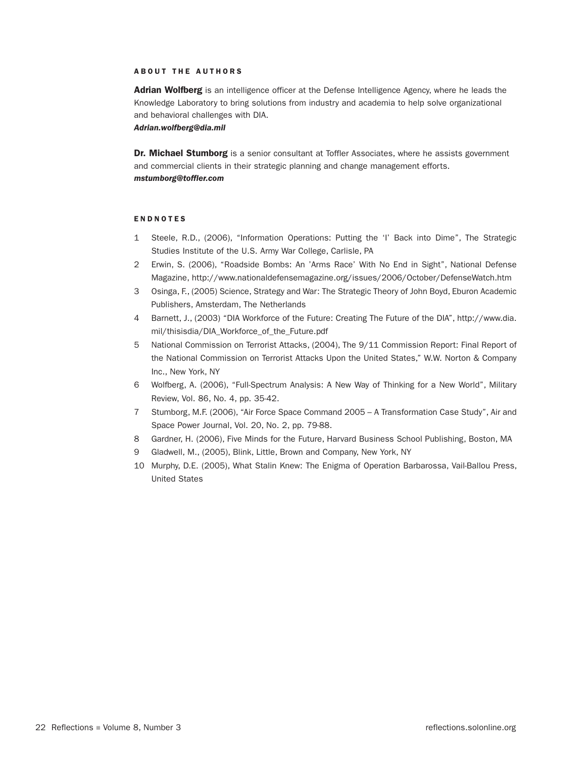#### **ABOUT THE AUTHORS**

Adrian Wolfberg is an intelligence officer at the Defense Intelligence Agency, where he leads the Knowledge Laboratory to bring solutions from industry and academia to help solve organizational and behavioral challenges with DIA.

*Adrian.wolfberg@dia.mil*

Dr. Michael Stumborg is a senior consultant at Toffler Associates, where he assists government and commercial clients in their strategic planning and change management efforts. *mstumborg@toffler.com*

#### **ENDNOTES**

- 1 Steele, R.D., (2006), "Information Operations: Putting the 'I' Back into Dime", The Strategic Studies Institute of the U.S. Army War College, Carlisle, PA
- 2 Erwin, S. (2006), "Roadside Bombs: An 'Arms Race' With No End in Sight", National Defense Magazine, http://www.nationaldefensemagazine.org/issues/2006/October/DefenseWatch.htm
- 3 Osinga, F., (2005) Science, Strategy and War: The Strategic Theory of John Boyd, Eburon Academic Publishers, Amsterdam, The Netherlands
- 4 Barnett, J., (2003) "DIA Workforce of the Future: Creating The Future of the DIA", http://www.dia. mil/thisisdia/DIA\_Workforce\_of\_the\_Future.pdf
- 5 National Commission on Terrorist Attacks, (2004), The 9/11 Commission Report: Final Report of the National Commission on Terrorist Attacks Upon the United States," W.W. Norton & Company Inc., New York, NY
- 6 Wolfberg, A. (2006), "Full-Spectrum Analysis: A New Way of Thinking for a New World", Military Review, Vol. 86, No. 4, pp. 35-42.
- 7 Stumborg, M.F. (2006), "Air Force Space Command 2005 A Transformation Case Study", Air and Space Power Journal, Vol. 20, No. 2, pp. 79-88.
- 8 Gardner, H. (2006), Five Minds for the Future, Harvard Business School Publishing, Boston, MA
- 9 Gladwell, M., (2005), Blink, Little, Brown and Company, New York, NY
- 10 Murphy, D.E. (2005), What Stalin Knew: The Enigma of Operation Barbarossa, Vail-Ballou Press, United States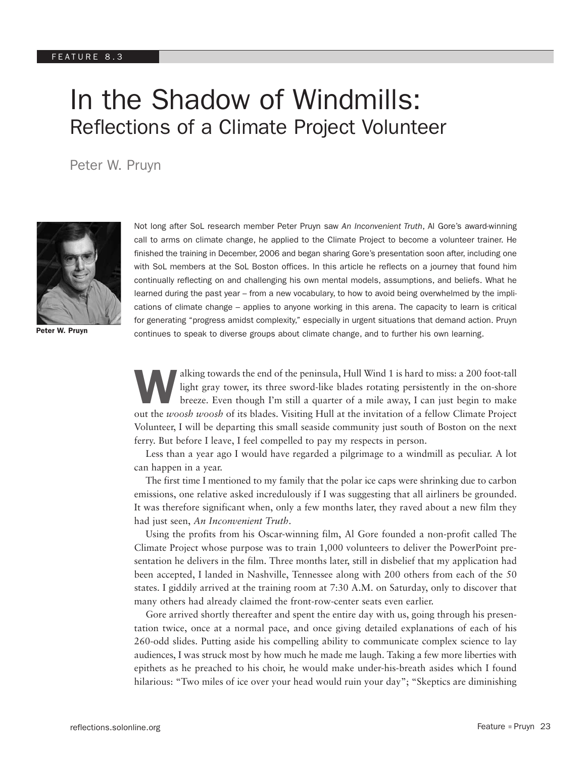# In the Shadow of Windmills: Reflections of a Climate Project Volunteer

Peter W. Pruyn



Peter W. Pruyn

Not long after SoL research member Peter Pruyn saw *An Inconvenient Truth*, Al Gore's award-winning call to arms on climate change, he applied to the Climate Project to become a volunteer trainer. He finished the training in December, 2006 and began sharing Gore's presentation soon after, including one with SoL members at the SoL Boston offices. In this article he reflects on a journey that found him continually reflecting on and challenging his own mental models, assumptions, and beliefs. What he learned during the past year – from a new vocabulary, to how to avoid being overwhelmed by the implications of climate change – applies to anyone working in this arena. The capacity to learn is critical for generating "progress amidst complexity," especially in urgent situations that demand action. Pruyn continues to speak to diverse groups about climate change, and to further his own learning.

alking towards the end of the peninsula, Hull Wind 1 is hard to miss: a 200 foot-tall light gray tower, its three sword-like blades rotating persistently in the on-shore breeze. Even though I'm still a quarter of a mile away, I can just begin to make out the *woosh woosh* of its blades. Visiting Hull at the invitation of a fellow Climate Project Volunteer, I will be departing this small seaside community just south of Boston on the next ferry. But before I leave, I feel compelled to pay my respects in person.

Less than a year ago I would have regarded a pilgrimage to a windmill as peculiar. A lot can happen in a year.

The first time I mentioned to my family that the polar ice caps were shrinking due to carbon emissions, one relative asked incredulously if I was suggesting that all airliners be grounded. It was therefore significant when, only a few months later, they raved about a new film they had just seen, *An Inconvenient Truth*.

Using the profits from his Oscar-winning film, Al Gore founded a non-profit called The Climate Project whose purpose was to train 1,000 volunteers to deliver the PowerPoint presentation he delivers in the film. Three months later, still in disbelief that my application had been accepted, I landed in Nashville, Tennessee along with 200 others from each of the 50 states. I giddily arrived at the training room at 7:30 A.M. on Saturday, only to discover that many others had already claimed the front-row-center seats even earlier.

Gore arrived shortly thereafter and spent the entire day with us, going through his presentation twice, once at a normal pace, and once giving detailed explanations of each of his 260-odd slides. Putting aside his compelling ability to communicate complex science to lay audiences, I was struck most by how much he made me laugh. Taking a few more liberties with epithets as he preached to his choir, he would make under-his-breath asides which I found hilarious: "Two miles of ice over your head would ruin your day"; "Skeptics are diminishing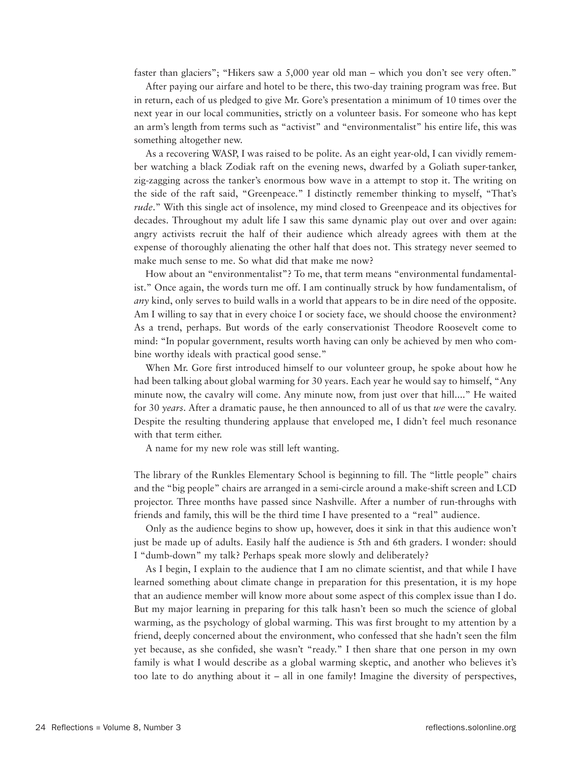faster than glaciers"; "Hikers saw a 5,000 year old man – which you don't see very often."

After paying our airfare and hotel to be there, this two-day training program was free. But in return, each of us pledged to give Mr. Gore's presentation a minimum of 10 times over the next year in our local communities, strictly on a volunteer basis. For someone who has kept an arm's length from terms such as "activist" and "environmentalist" his entire life, this was something altogether new.

As a recovering WASP, I was raised to be polite. As an eight year-old, I can vividly remember watching a black Zodiak raft on the evening news, dwarfed by a Goliath super-tanker, zig-zagging across the tanker's enormous bow wave in a attempt to stop it. The writing on the side of the raft said, "Greenpeace." I distinctly remember thinking to myself, "That's *rude*." With this single act of insolence, my mind closed to Greenpeace and its objectives for decades. Throughout my adult life I saw this same dynamic play out over and over again: angry activists recruit the half of their audience which already agrees with them at the expense of thoroughly alienating the other half that does not. This strategy never seemed to make much sense to me. So what did that make me now?

How about an "environmentalist"? To me, that term means "environmental fundamentalist." Once again, the words turn me off. I am continually struck by how fundamentalism, of *any* kind, only serves to build walls in a world that appears to be in dire need of the opposite. Am I willing to say that in every choice I or society face, we should choose the environment? As a trend, perhaps. But words of the early conservationist Theodore Roosevelt come to mind: "In popular government, results worth having can only be achieved by men who combine worthy ideals with practical good sense."

When Mr. Gore first introduced himself to our volunteer group, he spoke about how he had been talking about global warming for 30 years. Each year he would say to himself, "Any minute now, the cavalry will come. Any minute now, from just over that hill...." He waited for 30 *years*. After a dramatic pause, he then announced to all of us that *we* were the cavalry. Despite the resulting thundering applause that enveloped me, I didn't feel much resonance with that term either.

A name for my new role was still left wanting.

The library of the Runkles Elementary School is beginning to fill. The "little people" chairs and the "big people" chairs are arranged in a semi-circle around a make-shift screen and LCD projector. Three months have passed since Nashville. After a number of run-throughs with friends and family, this will be the third time I have presented to a "real" audience.

Only as the audience begins to show up, however, does it sink in that this audience won't just be made up of adults. Easily half the audience is 5th and 6th graders. I wonder: should I "dumb-down" my talk? Perhaps speak more slowly and deliberately?

As I begin, I explain to the audience that I am no climate scientist, and that while I have learned something about climate change in preparation for this presentation, it is my hope that an audience member will know more about some aspect of this complex issue than I do. But my major learning in preparing for this talk hasn't been so much the science of global warming, as the psychology of global warming. This was first brought to my attention by a friend, deeply concerned about the environment, who confessed that she hadn't seen the film yet because, as she confided, she wasn't "ready." I then share that one person in my own family is what I would describe as a global warming skeptic, and another who believes it's too late to do anything about it – all in one family! Imagine the diversity of perspectives,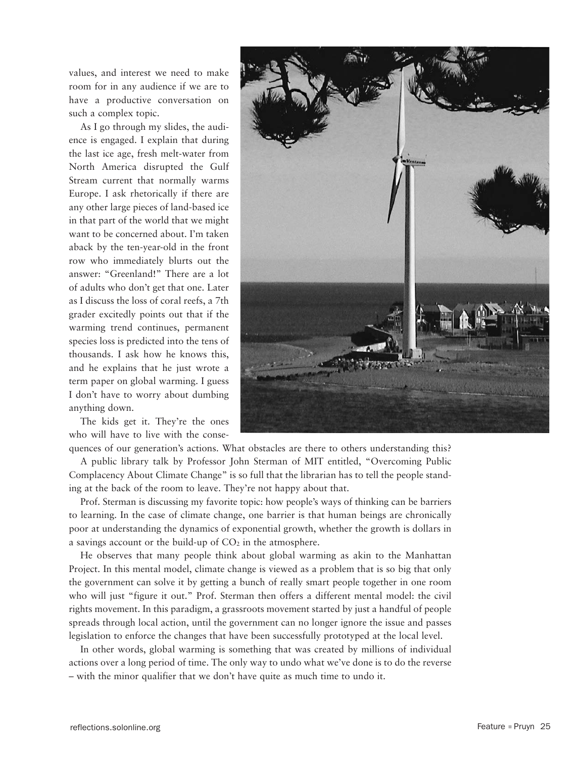values, and interest we need to make room for in any audience if we are to have a productive conversation on such a complex topic.

As I go through my slides, the audience is engaged. I explain that during the last ice age, fresh melt-water from North America disrupted the Gulf Stream current that normally warms Europe. I ask rhetorically if there are any other large pieces of land-based ice in that part of the world that we might want to be concerned about. I'm taken aback by the ten-year-old in the front row who immediately blurts out the answer: "Greenland!" There are a lot of adults who don't get that one. Later as I discuss the loss of coral reefs, a 7th grader excitedly points out that if the warming trend continues, permanent species loss is predicted into the tens of thousands. I ask how he knows this, and he explains that he just wrote a term paper on global warming. I guess I don't have to worry about dumbing anything down.

The kids get it. They're the ones who will have to live with the conse-



quences of our generation's actions. What obstacles are there to others understanding this?

A public library talk by Professor John Sterman of MIT entitled, "Overcoming Public Complacency About Climate Change" is so full that the librarian has to tell the people standing at the back of the room to leave. They're not happy about that.

Prof. Sterman is discussing my favorite topic: how people's ways of thinking can be barriers to learning. In the case of climate change, one barrier is that human beings are chronically poor at understanding the dynamics of exponential growth, whether the growth is dollars in a savings account or the build-up of  $CO<sub>2</sub>$  in the atmosphere.

He observes that many people think about global warming as akin to the Manhattan Project. In this mental model, climate change is viewed as a problem that is so big that only the government can solve it by getting a bunch of really smart people together in one room who will just "figure it out." Prof. Sterman then offers a different mental model: the civil rights movement. In this paradigm, a grassroots movement started by just a handful of people spreads through local action, until the government can no longer ignore the issue and passes legislation to enforce the changes that have been successfully prototyped at the local level.

In other words, global warming is something that was created by millions of individual actions over a long period of time. The only way to undo what we've done is to do the reverse – with the minor qualifier that we don't have quite as much time to undo it.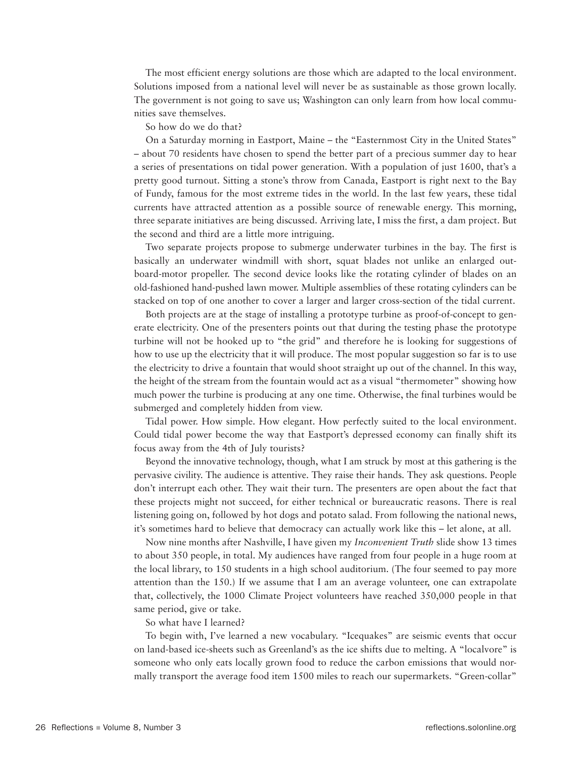The most efficient energy solutions are those which are adapted to the local environment. Solutions imposed from a national level will never be as sustainable as those grown locally. The government is not going to save us; Washington can only learn from how local communities save themselves.

So how do we do that?

On a Saturday morning in Eastport, Maine – the "Easternmost City in the United States" – about 70 residents have chosen to spend the better part of a precious summer day to hear a series of presentations on tidal power generation. With a population of just 1600, that's a pretty good turnout. Sitting a stone's throw from Canada, Eastport is right next to the Bay of Fundy, famous for the most extreme tides in the world. In the last few years, these tidal currents have attracted attention as a possible source of renewable energy. This morning, three separate initiatives are being discussed. Arriving late, I miss the first, a dam project. But the second and third are a little more intriguing.

Two separate projects propose to submerge underwater turbines in the bay. The first is basically an underwater windmill with short, squat blades not unlike an enlarged outboard-motor propeller. The second device looks like the rotating cylinder of blades on an old-fashioned hand-pushed lawn mower. Multiple assemblies of these rotating cylinders can be stacked on top of one another to cover a larger and larger cross-section of the tidal current.

Both projects are at the stage of installing a prototype turbine as proof-of-concept to generate electricity. One of the presenters points out that during the testing phase the prototype turbine will not be hooked up to "the grid" and therefore he is looking for suggestions of how to use up the electricity that it will produce. The most popular suggestion so far is to use the electricity to drive a fountain that would shoot straight up out of the channel. In this way, the height of the stream from the fountain would act as a visual "thermometer" showing how much power the turbine is producing at any one time. Otherwise, the final turbines would be submerged and completely hidden from view.

Tidal power. How simple. How elegant. How perfectly suited to the local environment. Could tidal power become the way that Eastport's depressed economy can finally shift its focus away from the 4th of July tourists?

Beyond the innovative technology, though, what I am struck by most at this gathering is the pervasive civility. The audience is attentive. They raise their hands. They ask questions. People don't interrupt each other. They wait their turn. The presenters are open about the fact that these projects might not succeed, for either technical or bureaucratic reasons. There is real listening going on, followed by hot dogs and potato salad. From following the national news, it's sometimes hard to believe that democracy can actually work like this – let alone, at all.

Now nine months after Nashville, I have given my *Inconvenient Truth* slide show 13 times to about 350 people, in total. My audiences have ranged from four people in a huge room at the local library, to 150 students in a high school auditorium. (The four seemed to pay more attention than the 150.) If we assume that I am an average volunteer, one can extrapolate that, collectively, the 1000 Climate Project volunteers have reached 350,000 people in that same period, give or take.

So what have I learned?

To begin with, I've learned a new vocabulary. "Icequakes" are seismic events that occur on land-based ice-sheets such as Greenland's as the ice shifts due to melting. A "localvore" is someone who only eats locally grown food to reduce the carbon emissions that would normally transport the average food item 1500 miles to reach our supermarkets. "Green-collar"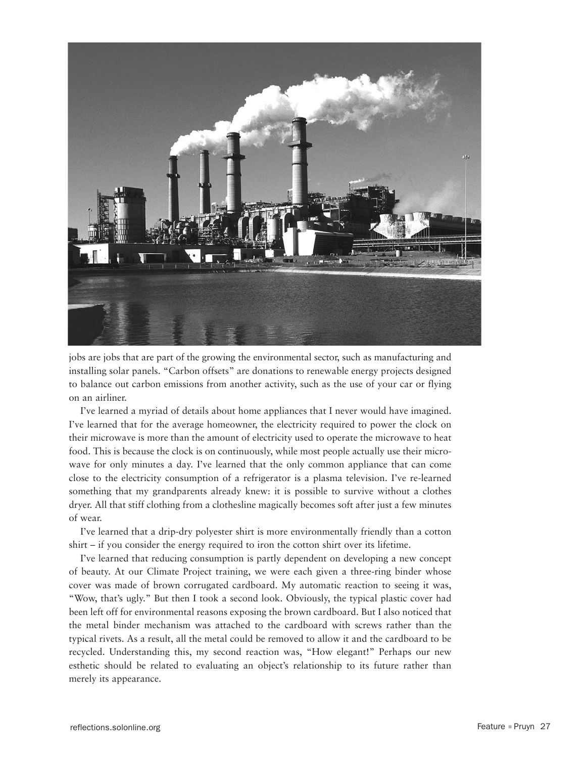

jobs are jobs that are part of the growing the environmental sector, such as manufacturing and installing solar panels. "Carbon offsets" are donations to renewable energy projects designed to balance out carbon emissions from another activity, such as the use of your car or flying on an airliner.

I've learned a myriad of details about home appliances that I never would have imagined. I've learned that for the average homeowner, the electricity required to power the clock on their microwave is more than the amount of electricity used to operate the microwave to heat food. This is because the clock is on continuously, while most people actually use their microwave for only minutes a day. I've learned that the only common appliance that can come close to the electricity consumption of a refrigerator is a plasma television. I've re-learned something that my grandparents already knew: it is possible to survive without a clothes dryer. All that stiff clothing from a clothesline magically becomes soft after just a few minutes of wear.

I've learned that a drip-dry polyester shirt is more environmentally friendly than a cotton shirt – if you consider the energy required to iron the cotton shirt over its lifetime.

I've learned that reducing consumption is partly dependent on developing a new concept of beauty. At our Climate Project training, we were each given a three-ring binder whose cover was made of brown corrugated cardboard. My automatic reaction to seeing it was, "Wow, that's ugly." But then I took a second look. Obviously, the typical plastic cover had been left off for environmental reasons exposing the brown cardboard. But I also noticed that the metal binder mechanism was attached to the cardboard with screws rather than the typical rivets. As a result, all the metal could be removed to allow it and the cardboard to be recycled. Understanding this, my second reaction was, "How elegant!" Perhaps our new esthetic should be related to evaluating an object's relationship to its future rather than merely its appearance.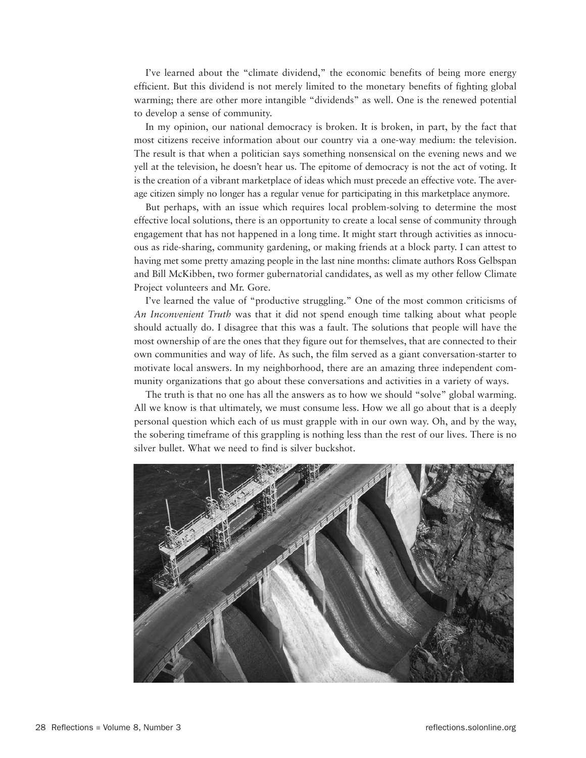I've learned about the "climate dividend," the economic benefits of being more energy efficient. But this dividend is not merely limited to the monetary benefits of fighting global warming; there are other more intangible "dividends" as well. One is the renewed potential to develop a sense of community.

In my opinion, our national democracy is broken. It is broken, in part, by the fact that most citizens receive information about our country via a one-way medium: the television. The result is that when a politician says something nonsensical on the evening news and we yell at the television, he doesn't hear us. The epitome of democracy is not the act of voting. It is the creation of a vibrant marketplace of ideas which must precede an effective vote. The average citizen simply no longer has a regular venue for participating in this marketplace anymore.

But perhaps, with an issue which requires local problem-solving to determine the most effective local solutions, there is an opportunity to create a local sense of community through engagement that has not happened in a long time. It might start through activities as innocuous as ride-sharing, community gardening, or making friends at a block party. I can attest to having met some pretty amazing people in the last nine months: climate authors Ross Gelbspan and Bill McKibben, two former gubernatorial candidates, as well as my other fellow Climate Project volunteers and Mr. Gore.

I've learned the value of "productive struggling." One of the most common criticisms of *An Inconvenient Truth* was that it did not spend enough time talking about what people should actually do. I disagree that this was a fault. The solutions that people will have the most ownership of are the ones that they figure out for themselves, that are connected to their own communities and way of life. As such, the film served as a giant conversation-starter to motivate local answers. In my neighborhood, there are an amazing three independent community organizations that go about these conversations and activities in a variety of ways.

The truth is that no one has all the answers as to how we should "solve" global warming. All we know is that ultimately, we must consume less. How we all go about that is a deeply personal question which each of us must grapple with in our own way. Oh, and by the way, the sobering timeframe of this grappling is nothing less than the rest of our lives. There is no silver bullet. What we need to find is silver buckshot.

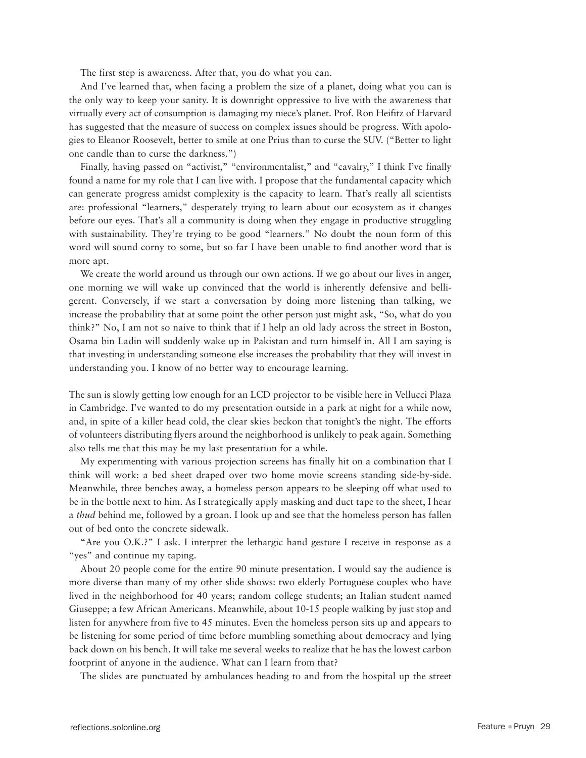The first step is awareness. After that, you do what you can.

And I've learned that, when facing a problem the size of a planet, doing what you can is the only way to keep your sanity. It is downright oppressive to live with the awareness that virtually every act of consumption is damaging my niece's planet. Prof. Ron Heifitz of Harvard has suggested that the measure of success on complex issues should be progress. With apologies to Eleanor Roosevelt, better to smile at one Prius than to curse the SUV. ("Better to light one candle than to curse the darkness.")

Finally, having passed on "activist," "environmentalist," and "cavalry," I think I've finally found a name for my role that I can live with. I propose that the fundamental capacity which can generate progress amidst complexity is the capacity to learn. That's really all scientists are: professional "learners," desperately trying to learn about our ecosystem as it changes before our eyes. That's all a community is doing when they engage in productive struggling with sustainability. They're trying to be good "learners." No doubt the noun form of this word will sound corny to some, but so far I have been unable to find another word that is more apt.

We create the world around us through our own actions. If we go about our lives in anger, one morning we will wake up convinced that the world is inherently defensive and belligerent. Conversely, if we start a conversation by doing more listening than talking, we increase the probability that at some point the other person just might ask, "So, what do you think?" No, I am not so naive to think that if I help an old lady across the street in Boston, Osama bin Ladin will suddenly wake up in Pakistan and turn himself in. All I am saying is that investing in understanding someone else increases the probability that they will invest in understanding you. I know of no better way to encourage learning.

The sun is slowly getting low enough for an LCD projector to be visible here in Vellucci Plaza in Cambridge. I've wanted to do my presentation outside in a park at night for a while now, and, in spite of a killer head cold, the clear skies beckon that tonight's the night. The efforts of volunteers distributing flyers around the neighborhood is unlikely to peak again. Something also tells me that this may be my last presentation for a while.

My experimenting with various projection screens has finally hit on a combination that I think will work: a bed sheet draped over two home movie screens standing side-by-side. Meanwhile, three benches away, a homeless person appears to be sleeping off what used to be in the bottle next to him. As I strategically apply masking and duct tape to the sheet, I hear a *thud* behind me, followed by a groan. I look up and see that the homeless person has fallen out of bed onto the concrete sidewalk.

"Are you O.K.?" I ask. I interpret the lethargic hand gesture I receive in response as a "yes" and continue my taping.

About 20 people come for the entire 90 minute presentation. I would say the audience is more diverse than many of my other slide shows: two elderly Portuguese couples who have lived in the neighborhood for 40 years; random college students; an Italian student named Giuseppe; a few African Americans. Meanwhile, about 10-15 people walking by just stop and listen for anywhere from five to 45 minutes. Even the homeless person sits up and appears to be listening for some period of time before mumbling something about democracy and lying back down on his bench. It will take me several weeks to realize that he has the lowest carbon footprint of anyone in the audience. What can I learn from that?

The slides are punctuated by ambulances heading to and from the hospital up the street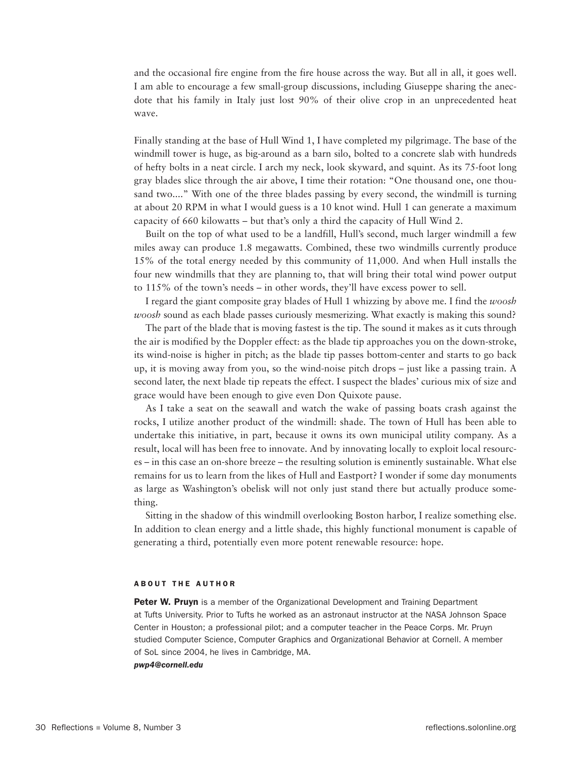and the occasional fire engine from the fire house across the way. But all in all, it goes well. I am able to encourage a few small-group discussions, including Giuseppe sharing the anecdote that his family in Italy just lost 90% of their olive crop in an unprecedented heat wave.

Finally standing at the base of Hull Wind 1, I have completed my pilgrimage. The base of the windmill tower is huge, as big-around as a barn silo, bolted to a concrete slab with hundreds of hefty bolts in a neat circle. I arch my neck, look skyward, and squint. As its 75-foot long gray blades slice through the air above, I time their rotation: "One thousand one, one thousand two...." With one of the three blades passing by every second, the windmill is turning at about 20 RPM in what I would guess is a 10 knot wind. Hull 1 can generate a maximum capacity of 660 kilowatts – but that's only a third the capacity of Hull Wind 2.

Built on the top of what used to be a landfill, Hull's second, much larger windmill a few miles away can produce 1.8 megawatts. Combined, these two windmills currently produce 15% of the total energy needed by this community of 11,000. And when Hull installs the four new windmills that they are planning to, that will bring their total wind power output to 115% of the town's needs – in other words, they'll have excess power to sell.

I regard the giant composite gray blades of Hull 1 whizzing by above me. I find the *woosh woosh* sound as each blade passes curiously mesmerizing. What exactly is making this sound?

The part of the blade that is moving fastest is the tip. The sound it makes as it cuts through the air is modified by the Doppler effect: as the blade tip approaches you on the down-stroke, its wind-noise is higher in pitch; as the blade tip passes bottom-center and starts to go back up, it is moving away from you, so the wind-noise pitch drops – just like a passing train. A second later, the next blade tip repeats the effect. I suspect the blades' curious mix of size and grace would have been enough to give even Don Quixote pause.

As I take a seat on the seawall and watch the wake of passing boats crash against the rocks, I utilize another product of the windmill: shade. The town of Hull has been able to undertake this initiative, in part, because it owns its own municipal utility company. As a result, local will has been free to innovate. And by innovating locally to exploit local resources – in this case an on-shore breeze – the resulting solution is eminently sustainable. What else remains for us to learn from the likes of Hull and Eastport? I wonder if some day monuments as large as Washington's obelisk will not only just stand there but actually produce something.

Sitting in the shadow of this windmill overlooking Boston harbor, I realize something else. In addition to clean energy and a little shade, this highly functional monument is capable of generating a third, potentially even more potent renewable resource: hope.

#### **ABOUT THE AUTHOR**

Peter W. Pruyn is a member of the Organizational Development and Training Department at Tufts University. Prior to Tufts he worked as an astronaut instructor at the NASA Johnson Space Center in Houston; a professional pilot; and a computer teacher in the Peace Corps. Mr. Pruyn studied Computer Science, Computer Graphics and Organizational Behavior at Cornell. A member of SoL since 2004, he lives in Cambridge, MA.

#### *pwp4@cornell.edu*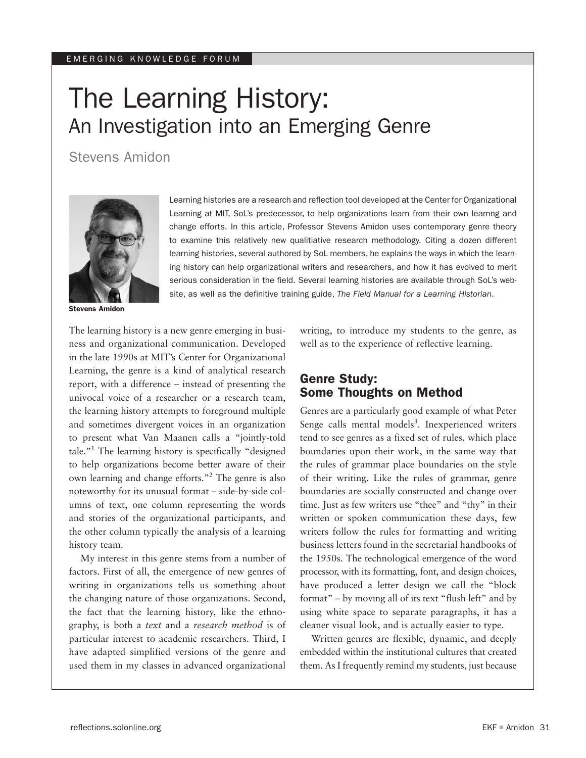#### emerging knowledge forum

# The Learning History: An Investigation into an Emerging Genre

Stevens Amidon



Stevens Amidon

Learning histories are a research and reflection tool developed at the Center for Organizational Learning at MIT, SoL's predecessor, to help organizations learn from their own learnng and change efforts. In this article, Professor Stevens Amidon uses contemporary genre theory to examine this relatively new qualitiative research methodology. Citing a dozen different learning histories, several authored by SoL members, he explains the ways in which the learning history can help organizational writers and researchers, and how it has evolved to merit serious consideration in the field. Several learning histories are available through SoL's website, as well as the definitive training guide, *The Field Manual for a Learning Historian*.

The learning history is a new genre emerging in business and organizational communication. Developed in the late 1990s at MIT's Center for Organizational Learning, the genre is a kind of analytical research report, with a difference – instead of presenting the univocal voice of a researcher or a research team, the learning history attempts to foreground multiple and sometimes divergent voices in an organization to present what Van Maanen calls a "jointly-told tale."1 The learning history is specifically "designed to help organizations become better aware of their own learning and change efforts."2 The genre is also noteworthy for its unusual format – side-by-side columns of text, one column representing the words and stories of the organizational participants, and the other column typically the analysis of a learning history team.

My interest in this genre stems from a number of factors. First of all, the emergence of new genres of writing in organizations tells us something about the changing nature of those organizations. Second, the fact that the learning history, like the ethnography, is both a *text* and a *research method* is of particular interest to academic researchers. Third, I have adapted simplified versions of the genre and used them in my classes in advanced organizational writing, to introduce my students to the genre, as well as to the experience of reflective learning.

# Genre Study: Some Thoughts on Method

Genres are a particularly good example of what Peter Senge calls mental models<sup>3</sup>. Inexperienced writers tend to see genres as a fixed set of rules, which place boundaries upon their work, in the same way that the rules of grammar place boundaries on the style of their writing. Like the rules of grammar, genre boundaries are socially constructed and change over time. Just as few writers use "thee" and "thy" in their written or spoken communication these days, few writers follow the rules for formatting and writing business letters found in the secretarial handbooks of the 1950s. The technological emergence of the word processor, with its formatting, font, and design choices, have produced a letter design we call the "block format" – by moving all of its text "flush left" and by using white space to separate paragraphs, it has a cleaner visual look, and is actually easier to type.

Written genres are flexible, dynamic, and deeply embedded within the institutional cultures that created them. As I frequently remind my students, just because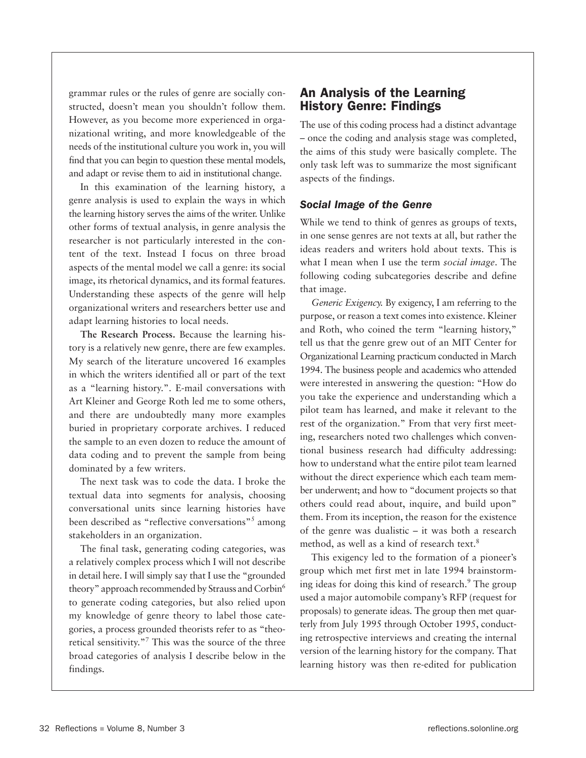grammar rules or the rules of genre are socially constructed, doesn't mean you shouldn't follow them. However, as you become more experienced in organizational writing, and more knowledgeable of the needs of the institutional culture you work in, you will find that you can begin to question these mental models, and adapt or revise them to aid in institutional change.

In this examination of the learning history, a genre analysis is used to explain the ways in which the learning history serves the aims of the writer. Unlike other forms of textual analysis, in genre analysis the researcher is not particularly interested in the content of the text. Instead I focus on three broad aspects of the mental model we call a genre: its social image, its rhetorical dynamics, and its formal features. Understanding these aspects of the genre will help organizational writers and researchers better use and adapt learning histories to local needs.

**The Research Process.** Because the learning history is a relatively new genre, there are few examples. My search of the literature uncovered 16 examples in which the writers identified all or part of the text as a "learning history.". E-mail conversations with Art Kleiner and George Roth led me to some others, and there are undoubtedly many more examples buried in proprietary corporate archives. I reduced the sample to an even dozen to reduce the amount of data coding and to prevent the sample from being dominated by a few writers.

The next task was to code the data. I broke the textual data into segments for analysis, choosing conversational units since learning histories have been described as "reflective conversations"<sup>5</sup> among stakeholders in an organization.

The final task, generating coding categories, was a relatively complex process which I will not describe in detail here. I will simply say that I use the "grounded theory" approach recommended by Strauss and Corbin<sup>6</sup> to generate coding categories, but also relied upon my knowledge of genre theory to label those categories, a process grounded theorists refer to as "theoretical sensitivity."<sup>7</sup> This was the source of the three broad categories of analysis I describe below in the findings.

# An Analysis of the Learning History Genre: Findings

The use of this coding process had a distinct advantage – once the coding and analysis stage was completed, the aims of this study were basically complete. The only task left was to summarize the most significant aspects of the findings.

## *Social Image of the Genre*

While we tend to think of genres as groups of texts, in one sense genres are not texts at all, but rather the ideas readers and writers hold about texts. This is what I mean when I use the term *social image*. The following coding subcategories describe and define that image.

*Generic Exigency.* By exigency, I am referring to the purpose, or reason a text comes into existence. Kleiner and Roth, who coined the term "learning history," tell us that the genre grew out of an MIT Center for Organizational Learning practicum conducted in March 1994. The business people and academics who attended were interested in answering the question: "How do you take the experience and understanding which a pilot team has learned, and make it relevant to the rest of the organization." From that very first meeting, researchers noted two challenges which conventional business research had difficulty addressing: how to understand what the entire pilot team learned without the direct experience which each team member underwent; and how to "document projects so that others could read about, inquire, and build upon" them. From its inception, the reason for the existence of the genre was dualistic – it was both a research method, as well as a kind of research text.<sup>8</sup>

This exigency led to the formation of a pioneer's group which met first met in late 1994 brainstorming ideas for doing this kind of research.<sup>9</sup> The group used a major automobile company's RFP (request for proposals) to generate ideas. The group then met quarterly from July 1995 through October 1995, conducting retrospective interviews and creating the internal version of the learning history for the company. That learning history was then re-edited for publication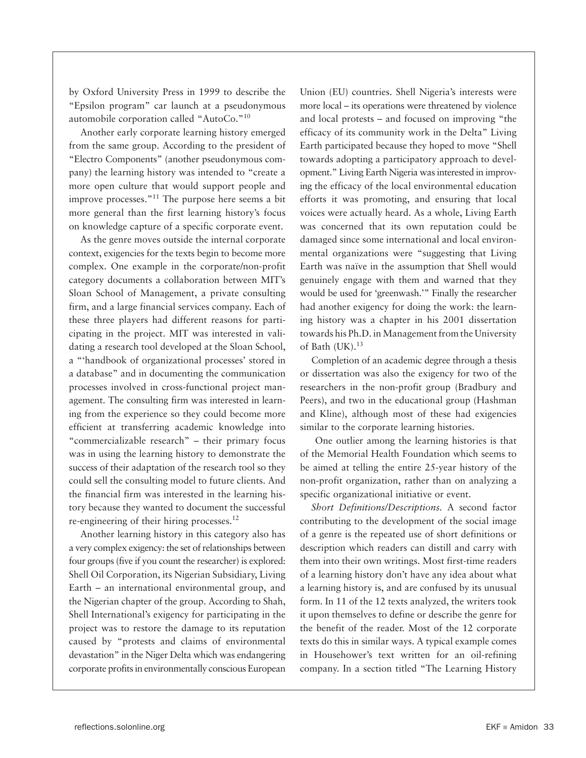by Oxford University Press in 1999 to describe the "Epsilon program" car launch at a pseudonymous automobile corporation called "AutoCo."10

Another early corporate learning history emerged from the same group. According to the president of "Electro Components" (another pseudonymous company) the learning history was intended to "create a more open culture that would support people and improve processes."11 The purpose here seems a bit more general than the first learning history's focus on knowledge capture of a specific corporate event.

As the genre moves outside the internal corporate context, exigencies for the texts begin to become more complex. One example in the corporate/non-profit category documents a collaboration between MIT's Sloan School of Management, a private consulting firm, and a large financial services company. Each of these three players had different reasons for participating in the project. MIT was interested in validating a research tool developed at the Sloan School, a "'handbook of organizational processes' stored in a database" and in documenting the communication processes involved in cross-functional project management. The consulting firm was interested in learning from the experience so they could become more efficient at transferring academic knowledge into "commercializable research" – their primary focus was in using the learning history to demonstrate the success of their adaptation of the research tool so they could sell the consulting model to future clients. And the financial firm was interested in the learning history because they wanted to document the successful re-engineering of their hiring processes.12

Another learning history in this category also has a very complex exigency: the set of relationships between four groups (five if you count the researcher) is explored: Shell Oil Corporation, its Nigerian Subsidiary, Living Earth – an international environmental group, and the Nigerian chapter of the group. According to Shah, Shell International's exigency for participating in the project was to restore the damage to its reputation caused by "protests and claims of environmental devastation" in the Niger Delta which was endangering corporate profits in environmentally conscious European

Union (EU) countries. Shell Nigeria's interests were more local – its operations were threatened by violence and local protests – and focused on improving "the efficacy of its community work in the Delta" Living Earth participated because they hoped to move "Shell towards adopting a participatory approach to development." Living Earth Nigeria was interested in improving the efficacy of the local environmental education efforts it was promoting, and ensuring that local voices were actually heard. As a whole, Living Earth was concerned that its own reputation could be damaged since some international and local environmental organizations were "suggesting that Living Earth was naïve in the assumption that Shell would genuinely engage with them and warned that they would be used for 'greenwash.'" Finally the researcher had another exigency for doing the work: the learning history was a chapter in his 2001 dissertation towards his Ph.D. in Management from the University of Bath  $(UK).<sup>13</sup>$ 

Completion of an academic degree through a thesis or dissertation was also the exigency for two of the researchers in the non-profit group (Bradbury and Peers), and two in the educational group (Hashman and Kline), although most of these had exigencies similar to the corporate learning histories.

 One outlier among the learning histories is that of the Memorial Health Foundation which seems to be aimed at telling the entire 25-year history of the non-profit organization, rather than on analyzing a specific organizational initiative or event.

*Short Definitions/Descriptions.* A second factor contributing to the development of the social image of a genre is the repeated use of short definitions or description which readers can distill and carry with them into their own writings. Most first-time readers of a learning history don't have any idea about what a learning history is, and are confused by its unusual form. In 11 of the 12 texts analyzed, the writers took it upon themselves to define or describe the genre for the benefit of the reader. Most of the 12 corporate texts do this in similar ways. A typical example comes in Househower's text written for an oil-refining company. In a section titled "The Learning History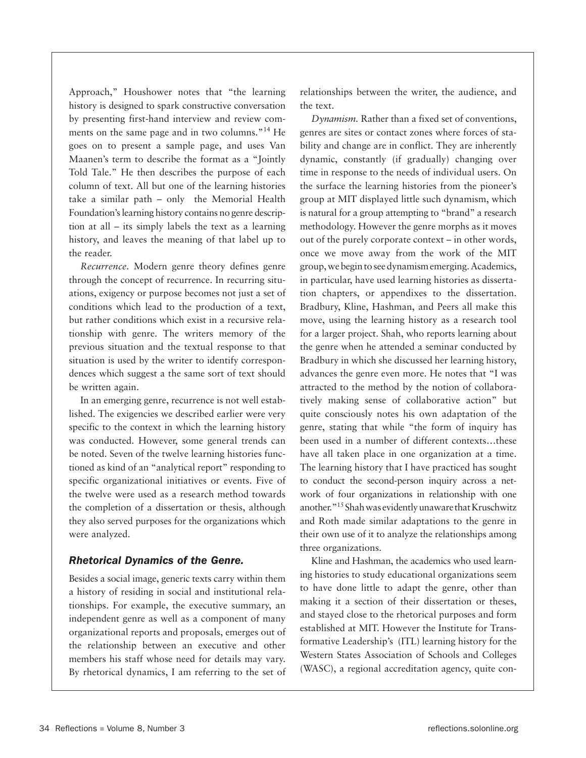Approach," Houshower notes that "the learning history is designed to spark constructive conversation by presenting first-hand interview and review comments on the same page and in two columns."<sup>14</sup> He goes on to present a sample page, and uses Van Maanen's term to describe the format as a "Jointly Told Tale." He then describes the purpose of each column of text. All but one of the learning histories take a similar path – only the Memorial Health Foundation's learning history contains no genre description at all – its simply labels the text as a learning history, and leaves the meaning of that label up to the reader.

*Recurrence.* Modern genre theory defines genre through the concept of recurrence. In recurring situations, exigency or purpose becomes not just a set of conditions which lead to the production of a text, but rather conditions which exist in a recursive relationship with genre. The writers memory of the previous situation and the textual response to that situation is used by the writer to identify correspondences which suggest a the same sort of text should be written again.

In an emerging genre, recurrence is not well established. The exigencies we described earlier were very specific to the context in which the learning history was conducted. However, some general trends can be noted. Seven of the twelve learning histories functioned as kind of an "analytical report" responding to specific organizational initiatives or events. Five of the twelve were used as a research method towards the completion of a dissertation or thesis, although they also served purposes for the organizations which were analyzed.

### *Rhetorical Dynamics of the Genre.*

Besides a social image, generic texts carry within them a history of residing in social and institutional relationships. For example, the executive summary, an independent genre as well as a component of many organizational reports and proposals, emerges out of the relationship between an executive and other members his staff whose need for details may vary. By rhetorical dynamics, I am referring to the set of relationships between the writer, the audience, and the text.

*Dynamism.* Rather than a fixed set of conventions, genres are sites or contact zones where forces of stability and change are in conflict. They are inherently dynamic, constantly (if gradually) changing over time in response to the needs of individual users. On the surface the learning histories from the pioneer's group at MIT displayed little such dynamism, which is natural for a group attempting to "brand" a research methodology. However the genre morphs as it moves out of the purely corporate context – in other words, once we move away from the work of the MIT group, we begin to see dynamism emerging. Academics, in particular, have used learning histories as dissertation chapters, or appendixes to the dissertation. Bradbury, Kline, Hashman, and Peers all make this move, using the learning history as a research tool for a larger project. Shah, who reports learning about the genre when he attended a seminar conducted by Bradbury in which she discussed her learning history, advances the genre even more. He notes that "I was attracted to the method by the notion of collaboratively making sense of collaborative action" but quite consciously notes his own adaptation of the genre, stating that while "the form of inquiry has been used in a number of different contexts…these have all taken place in one organization at a time. The learning history that I have practiced has sought to conduct the second-person inquiry across a network of four organizations in relationship with one another."15 Shah was evidently unaware that Kruschwitz and Roth made similar adaptations to the genre in their own use of it to analyze the relationships among three organizations.

Kline and Hashman, the academics who used learning histories to study educational organizations seem to have done little to adapt the genre, other than making it a section of their dissertation or theses, and stayed close to the rhetorical purposes and form established at MIT. However the Institute for Transformative Leadership's (ITL) learning history for the Western States Association of Schools and Colleges (WASC), a regional accreditation agency, quite con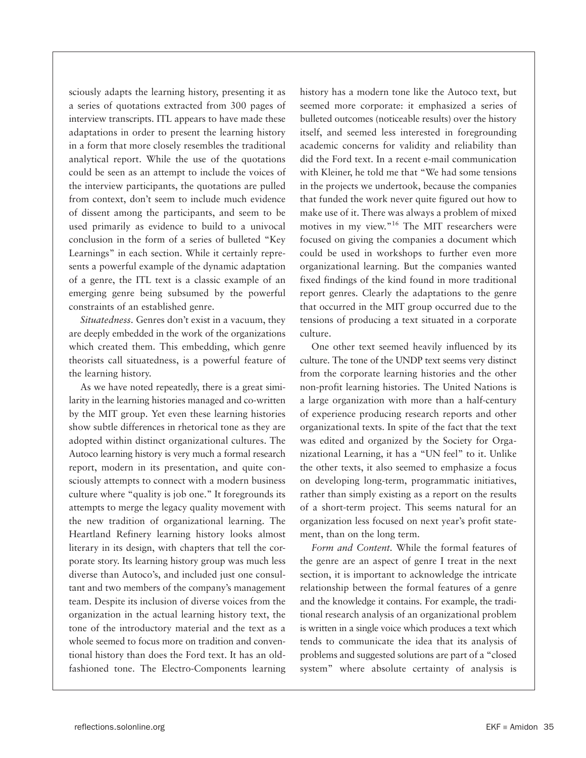sciously adapts the learning history, presenting it as a series of quotations extracted from 300 pages of interview transcripts. ITL appears to have made these adaptations in order to present the learning history in a form that more closely resembles the traditional analytical report. While the use of the quotations could be seen as an attempt to include the voices of the interview participants, the quotations are pulled from context, don't seem to include much evidence of dissent among the participants, and seem to be used primarily as evidence to build to a univocal conclusion in the form of a series of bulleted "Key Learnings" in each section. While it certainly represents a powerful example of the dynamic adaptation of a genre, the ITL text is a classic example of an emerging genre being subsumed by the powerful constraints of an established genre.

*Situatedness.* Genres don't exist in a vacuum, they are deeply embedded in the work of the organizations which created them. This embedding, which genre theorists call situatedness, is a powerful feature of the learning history.

As we have noted repeatedly, there is a great similarity in the learning histories managed and co-written by the MIT group. Yet even these learning histories show subtle differences in rhetorical tone as they are adopted within distinct organizational cultures. The Autoco learning history is very much a formal research report, modern in its presentation, and quite consciously attempts to connect with a modern business culture where "quality is job one." It foregrounds its attempts to merge the legacy quality movement with the new tradition of organizational learning. The Heartland Refinery learning history looks almost literary in its design, with chapters that tell the corporate story. Its learning history group was much less diverse than Autoco's, and included just one consultant and two members of the company's management team. Despite its inclusion of diverse voices from the organization in the actual learning history text, the tone of the introductory material and the text as a whole seemed to focus more on tradition and conventional history than does the Ford text. It has an oldfashioned tone. The Electro-Components learning

history has a modern tone like the Autoco text, but seemed more corporate: it emphasized a series of bulleted outcomes (noticeable results) over the history itself, and seemed less interested in foregrounding academic concerns for validity and reliability than did the Ford text. In a recent e-mail communication with Kleiner, he told me that "We had some tensions in the projects we undertook, because the companies that funded the work never quite figured out how to make use of it. There was always a problem of mixed motives in my view."16 The MIT researchers were focused on giving the companies a document which could be used in workshops to further even more organizational learning. But the companies wanted fixed findings of the kind found in more traditional report genres. Clearly the adaptations to the genre that occurred in the MIT group occurred due to the tensions of producing a text situated in a corporate culture.

One other text seemed heavily influenced by its culture. The tone of the UNDP text seems very distinct from the corporate learning histories and the other non-profit learning histories. The United Nations is a large organization with more than a half-century of experience producing research reports and other organizational texts. In spite of the fact that the text was edited and organized by the Society for Organizational Learning, it has a "UN feel" to it. Unlike the other texts, it also seemed to emphasize a focus on developing long-term, programmatic initiatives, rather than simply existing as a report on the results of a short-term project. This seems natural for an organization less focused on next year's profit statement, than on the long term.

*Form and Content.* While the formal features of the genre are an aspect of genre I treat in the next section, it is important to acknowledge the intricate relationship between the formal features of a genre and the knowledge it contains. For example, the traditional research analysis of an organizational problem is written in a single voice which produces a text which tends to communicate the idea that its analysis of problems and suggested solutions are part of a "closed system" where absolute certainty of analysis is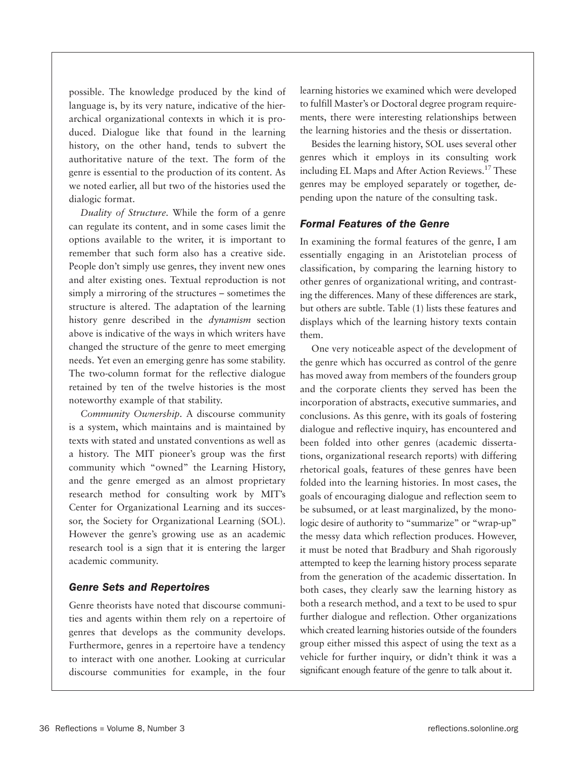possible. The knowledge produced by the kind of language is, by its very nature, indicative of the hierarchical organizational contexts in which it is produced. Dialogue like that found in the learning history, on the other hand, tends to subvert the authoritative nature of the text. The form of the genre is essential to the production of its content. As we noted earlier, all but two of the histories used the dialogic format.

*Duality of Structure.* While the form of a genre can regulate its content, and in some cases limit the options available to the writer, it is important to remember that such form also has a creative side. People don't simply use genres, they invent new ones and alter existing ones. Textual reproduction is not simply a mirroring of the structures – sometimes the structure is altered. The adaptation of the learning history genre described in the *dynamism* section above is indicative of the ways in which writers have changed the structure of the genre to meet emerging needs. Yet even an emerging genre has some stability. The two-column format for the reflective dialogue retained by ten of the twelve histories is the most noteworthy example of that stability.

*Community Ownership.* A discourse community is a system, which maintains and is maintained by texts with stated and unstated conventions as well as a history. The MIT pioneer's group was the first community which "owned" the Learning History, and the genre emerged as an almost proprietary research method for consulting work by MIT's Center for Organizational Learning and its successor, the Society for Organizational Learning (SOL). However the genre's growing use as an academic research tool is a sign that it is entering the larger academic community.

#### *Genre Sets and Repertoires*

Genre theorists have noted that discourse communities and agents within them rely on a repertoire of genres that develops as the community develops. Furthermore, genres in a repertoire have a tendency to interact with one another. Looking at curricular discourse communities for example, in the four

learning histories we examined which were developed to fulfill Master's or Doctoral degree program requirements, there were interesting relationships between the learning histories and the thesis or dissertation.

Besides the learning history, SOL uses several other genres which it employs in its consulting work including EL Maps and After Action Reviews.17 These genres may be employed separately or together, depending upon the nature of the consulting task.

#### *Formal Features of the Genre*

In examining the formal features of the genre, I am essentially engaging in an Aristotelian process of classification, by comparing the learning history to other genres of organizational writing, and contrasting the differences. Many of these differences are stark, but others are subtle. Table (1) lists these features and displays which of the learning history texts contain them.

One very noticeable aspect of the development of the genre which has occurred as control of the genre has moved away from members of the founders group and the corporate clients they served has been the incorporation of abstracts, executive summaries, and conclusions. As this genre, with its goals of fostering dialogue and reflective inquiry, has encountered and been folded into other genres (academic dissertations, organizational research reports) with differing rhetorical goals, features of these genres have been folded into the learning histories. In most cases, the goals of encouraging dialogue and reflection seem to be subsumed, or at least marginalized, by the monologic desire of authority to "summarize" or "wrap-up" the messy data which reflection produces. However, it must be noted that Bradbury and Shah rigorously attempted to keep the learning history process separate from the generation of the academic dissertation. In both cases, they clearly saw the learning history as both a research method, and a text to be used to spur further dialogue and reflection. Other organizations which created learning histories outside of the founders group either missed this aspect of using the text as a vehicle for further inquiry, or didn't think it was a significant enough feature of the genre to talk about it.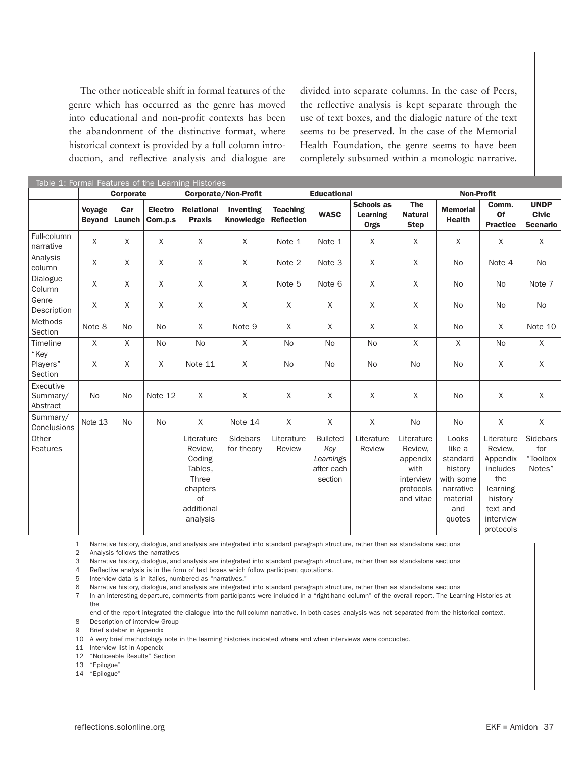The other noticeable shift in formal features of the genre which has occurred as the genre has moved into educational and non-profit contexts has been the abandonment of the distinctive format, where historical context is provided by a full column introduction, and reflective analysis and dialogue are

divided into separate columns. In the case of Peers, the reflective analysis is kept separate through the use of text boxes, and the dialogic nature of the text seems to be preserved. In the case of the Memorial Health Foundation, the genre seems to have been completely subsumed within a monologic narrative.

| Table 1: Formal Features of the Learning Histories |                         |               |                           |                                                                                                        |                        |                                      |                                                              |                                              |                                                                                  |                                                                                               |                                                                                                                   |                                                |
|----------------------------------------------------|-------------------------|---------------|---------------------------|--------------------------------------------------------------------------------------------------------|------------------------|--------------------------------------|--------------------------------------------------------------|----------------------------------------------|----------------------------------------------------------------------------------|-----------------------------------------------------------------------------------------------|-------------------------------------------------------------------------------------------------------------------|------------------------------------------------|
|                                                    | Corporate               |               |                           | Corporate/Non-Profit                                                                                   |                        | <b>Educational</b>                   |                                                              |                                              | <b>Non-Profit</b>                                                                |                                                                                               |                                                                                                                   |                                                |
|                                                    | Voyage<br><b>Beyond</b> | Car<br>Launch | <b>Electro</b><br>Com.p.s | <b>Relational</b><br><b>Praxis</b>                                                                     | Inventing<br>Knowledge | <b>Teaching</b><br><b>Reflection</b> | <b>WASC</b>                                                  | Schools as<br><b>Learning</b><br><b>Orgs</b> | <b>The</b><br><b>Natural</b><br><b>Step</b>                                      | <b>Memorial</b><br><b>Health</b>                                                              | Comm.<br>Of<br><b>Practice</b>                                                                                    | <b>UNDP</b><br><b>Civic</b><br><b>Scenario</b> |
| Full-column<br>narrative                           | Χ                       | X             | X                         | X                                                                                                      | X                      | Note 1                               | Note 1                                                       | X                                            | X                                                                                | X                                                                                             | X                                                                                                                 | X                                              |
| Analysis<br>column                                 | X                       | Χ             | X                         | X                                                                                                      | X                      | Note 2                               | Note 3                                                       | X                                            | X                                                                                | No                                                                                            | Note 4                                                                                                            | <b>No</b>                                      |
| Dialogue<br>Column                                 | X                       | X             | X                         | X                                                                                                      | X                      | Note 5                               | Note 6                                                       | $\times$                                     | X                                                                                | No                                                                                            | <b>No</b>                                                                                                         | Note 7                                         |
| Genre<br>Description                               | X                       | X             | X                         | X                                                                                                      | X                      | X                                    | $\times$                                                     | X                                            | X                                                                                | No                                                                                            | <b>No</b>                                                                                                         | No                                             |
| Methods<br>Section                                 | Note 8                  | No            | <b>No</b>                 | X                                                                                                      | Note 9                 | X                                    | X                                                            | X                                            | X                                                                                | <b>No</b>                                                                                     | X                                                                                                                 | Note 10                                        |
| Timeline                                           | X                       | X             | <b>No</b>                 | <b>No</b>                                                                                              | X                      | <b>No</b>                            | <b>No</b>                                                    | <b>No</b>                                    | X                                                                                | $\chi$                                                                                        | <b>No</b>                                                                                                         | $\mathsf{X}$                                   |
| "Key<br>Players"<br>Section                        | X                       | X             | X                         | Note 11                                                                                                | X                      | <b>No</b>                            | <b>No</b>                                                    | <b>No</b>                                    | No                                                                               | <b>No</b>                                                                                     | $\times$                                                                                                          | X                                              |
| Executive<br>Summary/<br>Abstract                  | <b>No</b>               | <b>No</b>     | Note 12                   | X                                                                                                      | X                      | X                                    | X                                                            | X                                            | X                                                                                | <b>No</b>                                                                                     | X                                                                                                                 | X                                              |
| Summary/<br>Conclusions                            | Note 13                 | <b>No</b>     | <b>No</b>                 | X                                                                                                      | Note 14                | X                                    | X                                                            | $\sf X$                                      | No                                                                               | No                                                                                            | $\sf X$                                                                                                           | X                                              |
| Other<br>Features                                  |                         |               |                           | Literature<br>Review.<br>Coding<br>Tables,<br><b>Three</b><br>chapters<br>of<br>additional<br>analysis | Sidebars<br>for theory | Literature<br>Review                 | <b>Bulleted</b><br>Key<br>Learnings<br>after each<br>section | Literature<br>Review                         | Literature<br>Review.<br>appendix<br>with<br>interview<br>protocols<br>and vitae | Looks<br>like a<br>standard<br>history<br>with some<br>narrative<br>material<br>and<br>quotes | Literature<br>Review,<br>Appendix<br>includes<br>the<br>learning<br>history<br>text and<br>interview<br>protocols | <b>Sidebars</b><br>for<br>"Toolbox<br>Notes"   |

1 Narrative history, dialogue, and analysis are integrated into standard paragraph structure, rather than as stand-alone sections

2 Analysis follows the narratives

3 Narrative history, dialogue, and analysis are integrated into standard paragraph structure, rather than as stand-alone sections

4 Reflective analysis is in the form of text boxes which follow participant quotations.

5 Interview data is in italics, numbered as "narratives."

6 Narrative history, dialogue, and analysis are integrated into standard paragraph structure, rather than as stand-alone sections

7 In an interesting departure, comments from participants were included in a "right-hand column" of the overall report. The Learning Histories at the

end of the report integrated the dialogue into the full-column narrative. In both cases analysis was not separated from the historical context. 8 Description of interview Group

9 Brief sidebar in Appendix

10 A very brief methodology note in the learning histories indicated where and when interviews were conducted.

11 Interview list in Appendix

12 "Noticeable Results" Section

13 "Epilogue"

14 "Epilogue"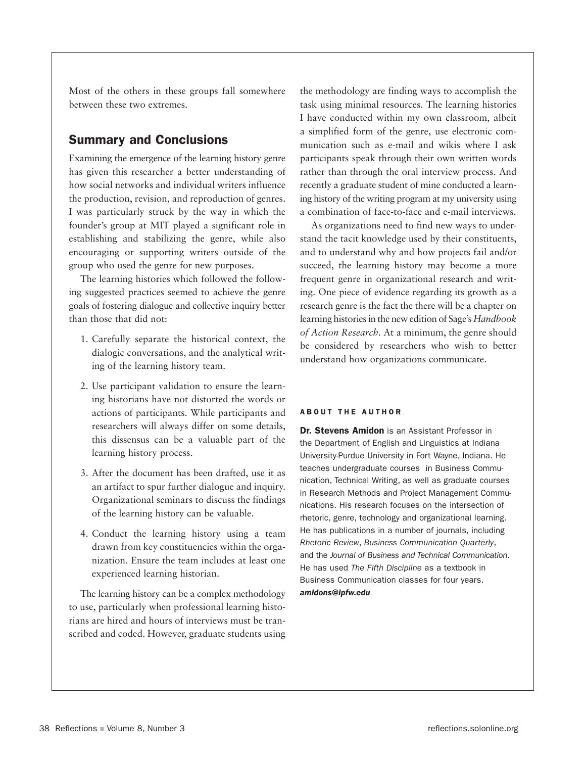Most of the others in these groups fall somewhere between these two extremes.

# Summary and Conclusions

Examining the emergence of the learning history genre has given this researcher a better understanding of how social networks and individual writers influence the production, revision, and reproduction of genres. I was particularly struck by the way in which the founder's group at MIT played a significant role in establishing and stabilizing the genre, while also encouraging or supporting writers outside of the group who used the genre for new purposes.

The learning histories which followed the following suggested practices seemed to achieve the genre goals of fostering dialogue and collective inquiry better than those that did not:

- 1. Carefully separate the historical context, the dialogic conversations, and the analytical writing of the learning history team.
- 2. Use participant validation to ensure the learning historians have not distorted the words or actions of participants. While participants and researchers will always differ on some details, this dissensus can be a valuable part of the learning history process.
- 3. After the document has been drafted, use it as an artifact to spur further dialogue and inquiry. Organizational seminars to discuss the findings of the learning history can be valuable.
- 4. Conduct the learning history using a team drawn from key constituencies within the organization. Ensure the team includes at least one experienced learning historian.

The learning history can be a complex methodology to use, particularly when professional learning historians are hired and hours of interviews must be transcribed and coded. However, graduate students using

the methodology are finding ways to accomplish the task using minimal resources. The learning histories I have conducted within my own classroom, albeit a simplified form of the genre, use electronic communication such as e-mail and wikis where I ask participants speak through their own written words rather than through the oral interview process. And recently a graduate student of mine conducted a learning history of the writing program at my university using a combination of face-to-face and e-mail interviews.

As organizations need to find new ways to understand the tacit knowledge used by their constituents, and to understand why and how projects fail and/or succeed, the learning history may become a more frequent genre in organizational research and writing. One piece of evidence regarding its growth as a research genre is the fact the there will be a chapter on learning histories in the new edition of Sage's *Handbook of Action Research.* At a minimum, the genre should be considered by researchers who wish to better understand how organizations communicate.

#### **ABOUT THE AUTHOR**

Dr. Stevens Amidon is an Assistant Professor in the Department of English and Linguistics at Indiana University-Purdue University in Fort Wayne, Indiana. He teaches undergraduate courses in Business Communication, Technical Writing, as well as graduate courses in Research Methods and Project Management Communications. His research focuses on the intersection of rhetoric, genre, technology and organizational learning. He has publications in a number of journals, including *Rhetoric Review*, *Business Communication Quarterly*, and the *Journal of Business and Technical Communication*. He has used *The Fifth Discipline* as a textbook in Business Communication classes for four years. *amidons@ipfw.edu*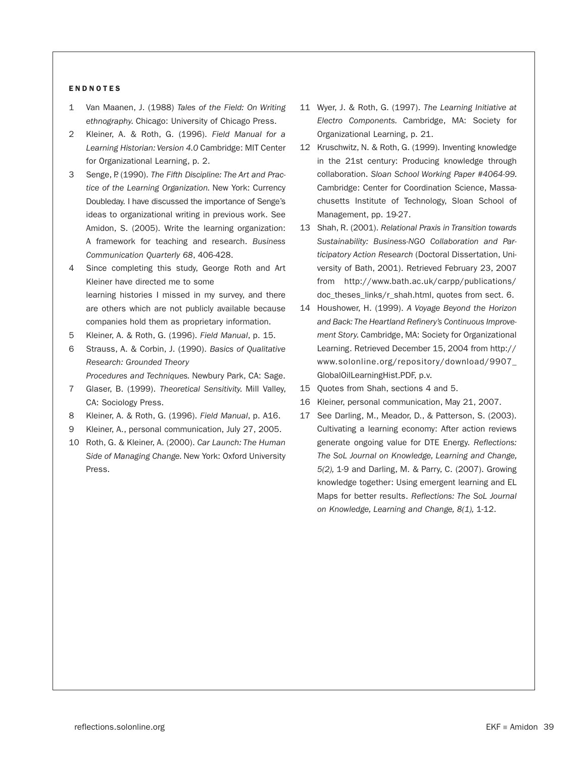#### **ENDNOTES**

- 1 Van Maanen, J. (1988) *Tales of the Field: On Writing ethnography.* Chicago: University of Chicago Press.
- 2 Kleiner, A. & Roth, G. (1996). *Field Manual for a Learning Historian: Version 4.0* Cambridge: MIT Center for Organizational Learning, p. 2.
- 3 Senge, P. (1990). *The Fifth Discipline: The Art and Practice of the Learning Organization.* New York: Currency Doubleday. I have discussed the importance of Senge's ideas to organizational writing in previous work. See Amidon, S. (2005). Write the learning organization: A framework for teaching and research. *Business Communication Quarterly 68*, 406-428.
- 4 Since completing this study, George Roth and Art Kleiner have directed me to some learning histories I missed in my survey, and there are others which are not publicly available because companies hold them as proprietary information.
- 5 Kleiner, A. & Roth, G. (1996). *Field Manual*, p. 15.
- 6 Strauss, A. & Corbin, J. (1990). *Basics of Qualitative Research: Grounded Theory Procedures and Techniques.* Newbury Park, CA: Sage.
- 7 Glaser, B. (1999). *Theoretical Sensitivity.* Mill Valley, CA: Sociology Press.
- 8 Kleiner, A. & Roth, G. (1996). *Field Manual*, p. A16.
- 9 Kleiner, A., personal communication, July 27, 2005.
- 10 Roth, G. & Kleiner, A. (2000). *Car Launch: The Human Side of Managing Change.* New York: Oxford University Press.
- 11 Wyer, J. & Roth, G. (1997). *The Learning Initiative at Electro Components.* Cambridge, MA: Society for Organizational Learning, p. 21.
- 12 Kruschwitz, N. & Roth, G. (1999). Inventing knowledge in the 21st century: Producing knowledge through collaboration. *Sloan School Working Paper #4064-99.*  Cambridge: Center for Coordination Science, Massachusetts Institute of Technology, Sloan School of Management, pp. 19-27.
- 13 Shah, R. (2001). *Relational Praxis in Transition towards Sustainability: Business-NGO Collaboration and Participatory Action Research* (Doctoral Dissertation, University of Bath, 2001). Retrieved February 23, 2007 from http://www.bath.ac.uk/carpp/publications/ doc\_theses\_links/r\_shah.html, quotes from sect. 6.
- 14 Houshower, H. (1999). *A Voyage Beyond the Horizon and Back: The Heartland Refinery's Continuous Improvement Story.* Cambridge, MA: Society for Organizational Learning. Retrieved December 15, 2004 from http:// www.solonline.org/repository/download/9907\_ GlobalOilLearningHist.PDF, p.v.
- 15 Quotes from Shah, sections 4 and 5.
- 16 Kleiner, personal communication, May 21, 2007.
- 17 See Darling, M., Meador, D., & Patterson, S. (2003). Cultivating a learning economy: After action reviews generate ongoing value for DTE Energy. *Reflections: The SoL Journal on Knowledge, Learning and Change, 5(2),* 1-9 and Darling, M. & Parry, C. (2007). Growing knowledge together: Using emergent learning and EL Maps for better results. *Reflections: The SoL Journal on Knowledge, Learning and Change, 8(1),* 1-12.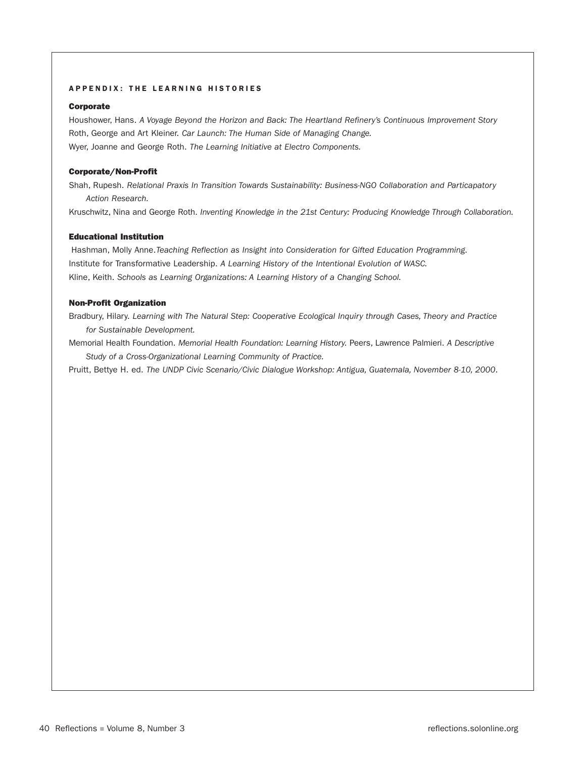#### APPENDIX: THE LEARNING HISTORIES

#### Corporate

Houshower, Hans. *A Voyage Beyond the Horizon and Back: The Heartland Refinery's Continuous Improvement Story* Roth, George and Art Kleiner. *Car Launch: The Human Side of Managing Change.*  Wyer, Joanne and George Roth. *The Learning Initiative at Electro Components.* 

#### Corporate/Non-Profit

Shah, Rupesh. *Relational Praxis In Transition Towards Sustainability: Business-NGO Collaboration and Particapatory Action Research.*

Kruschwitz, Nina and George Roth. *Inventing Knowledge in the 21st Century: Producing Knowledge Through Collaboration.*

#### Educational Institution

Hashman, Molly Anne. *Teaching Reflection as Insight into Consideration for Gifted Education Programming.* Institute for Transformative Leadership. *A Learning History of the Intentional Evolution of WASC.*  Kline, Keith. *Schools as Learning Organizations: A Learning History of a Changing School.* 

#### Non-Profit Organization

Bradbury, Hilary. *Learning with The Natural Step: Cooperative Ecological Inquiry through Cases, Theory and Practice for Sustainable Development.*

Memorial Health Foundation. *Memorial Health Foundation: Learning History.* Peers, Lawrence Palmieri. *A Descriptive Study of a Cross-Organizational Learning Community of Practice.* 

Pruitt, Bettye H. ed. *The UNDP Civic Scenario/Civic Dialogue Workshop: Antigua, Guatemala, November 8-10, 2000*.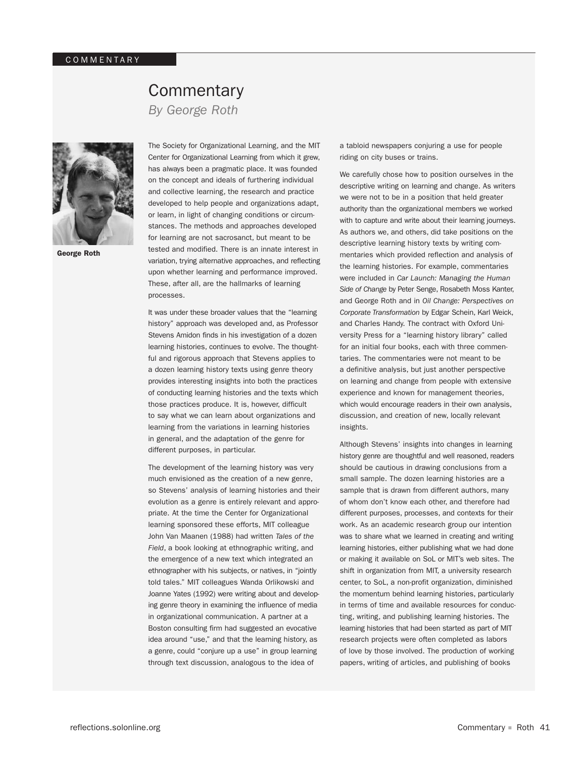# **Commentary**

*By George Roth*



George Roth

The Society for Organizational Learning, and the MIT Center for Organizational Learning from which it grew, has always been a pragmatic place. It was founded on the concept and ideals of furthering individual and collective learning, the research and practice developed to help people and organizations adapt, or learn, in light of changing conditions or circumstances. The methods and approaches developed for learning are not sacrosanct, but meant to be tested and modified. There is an innate interest in variation, trying alternative approaches, and reflecting upon whether learning and performance improved. These, after all, are the hallmarks of learning processes.

It was under these broader values that the "learning history" approach was developed and, as Professor Stevens Amidon finds in his investigation of a dozen learning histories, continues to evolve. The thoughtful and rigorous approach that Stevens applies to a dozen learning history texts using genre theory provides interesting insights into both the practices of conducting learning histories and the texts which those practices produce. It is, however, difficult to say what we can learn about organizations and learning from the variations in learning histories in general, and the adaptation of the genre for different purposes, in particular.

The development of the learning history was very much envisioned as the creation of a new genre, so Stevens' analysis of learning histories and their evolution as a genre is entirely relevant and appropriate. At the time the Center for Organizational learning sponsored these efforts, MIT colleague John Van Maanen (1988) had written *Tales of the Field*, a book looking at ethnographic writing, and the emergence of a new text which integrated an ethnographer with his subjects, or natives, in "jointly told tales." MIT colleagues Wanda Orlikowski and Joanne Yates (1992) were writing about and developing genre theory in examining the influence of media in organizational communication. A partner at a Boston consulting firm had suggested an evocative idea around "use," and that the learning history, as a genre, could "conjure up a use" in group learning through text discussion, analogous to the idea of

a tabloid newspapers conjuring a use for people riding on city buses or trains.

We carefully chose how to position ourselves in the descriptive writing on learning and change. As writers we were not to be in a position that held greater authority than the organizational members we worked with to capture and write about their learning journeys. As authors we, and others, did take positions on the descriptive learning history texts by writing commentaries which provided reflection and analysis of the learning histories. For example, commentaries were included in *Car Launch: Managing the Human Side of Change* by Peter Senge, Rosabeth Moss Kanter, and George Roth and in *Oil Change: Perspectives on Corporate Transformation* by Edgar Schein, Karl Weick, and Charles Handy. The contract with Oxford University Press for a "learning history library" called for an initial four books, each with three commentaries. The commentaries were not meant to be a definitive analysis, but just another perspective on learning and change from people with extensive experience and known for management theories, which would encourage readers in their own analysis, discussion, and creation of new, locally relevant insights.

Although Stevens' insights into changes in learning history genre are thoughtful and well reasoned, readers should be cautious in drawing conclusions from a small sample. The dozen learning histories are a sample that is drawn from different authors, many of whom don't know each other, and therefore had different purposes, processes, and contexts for their work. As an academic research group our intention was to share what we learned in creating and writing learning histories, either publishing what we had done or making it available on SoL or MIT's web sites. The shift in organization from MIT, a university research center, to SoL, a non-profit organization, diminished the momentum behind learning histories, particularly in terms of time and available resources for conducting, writing, and publishing learning histories. The learning histories that had been started as part of MIT research projects were often completed as labors of love by those involved. The production of working papers, writing of articles, and publishing of books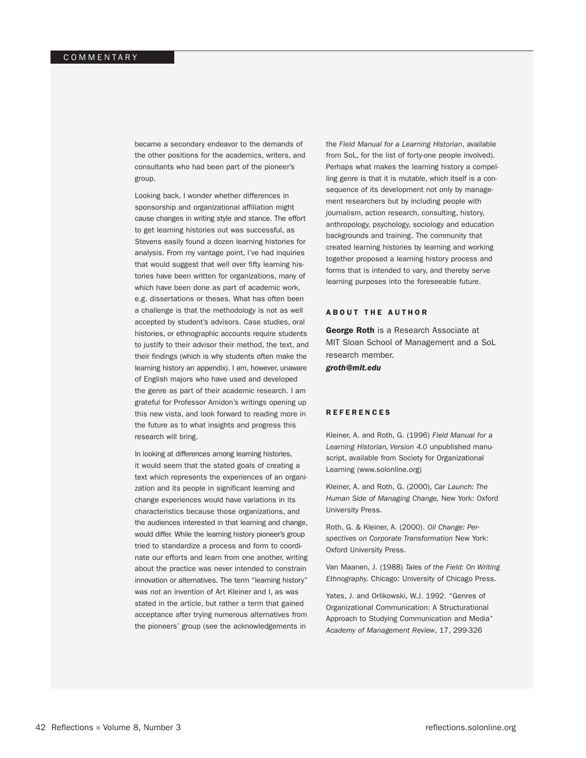became a secondary endeavor to the demands of the other positions for the academics, writers, and consultants who had been part of the pioneer's group.

Looking back, I wonder whether differences in sponsorship and organizational affiliation might cause changes in writing style and stance. The effort to get learning histories out was successful, as Stevens easily found a dozen learning histories for analysis. From my vantage point, I've had inquiries that would suggest that well over fifty learning histories have been written for organizations, many of which have been done as part of academic work, e.g. dissertations or theses. What has often been a challenge is that the methodology is not as well accepted by student's advisors. Case studies, oral histories, or ethnographic accounts require students to justify to their advisor their method, the text, and their findings (which is why students often make the learning history an appendix). I am, however, unaware of English majors who have used and developed the genre as part of their academic research. I am grateful for Professor Amidon's writings opening up this new vista, and look forward to reading more in the future as to what insights and progress this research will bring.

In looking at differences among learning histories, it would seem that the stated goals of creating a text which represents the experiences of an organization and its people in significant learning and change experiences would have variations in its characteristics because those organizations, and the audiences interested in that learning and change, would differ. While the learning history pioneer's group tried to standardize a process and form to coordinate our efforts and learn from one another, writing about the practice was never intended to constrain innovation or alternatives. The term "learning history" was *not* an invention of Art Kleiner and I, as was stated in the article, but rather a term that gained acceptance after trying numerous alternatives from the pioneers' group (see the acknowledgements in

the *Field Manual for a Learning Historian*, available from SoL, for the list of forty-one people involved). Perhaps what makes the learning history a compelling genre is that it is mutable, which itself is a consequence of its development not only by management researchers but by including people with journalism, action research, consulting, history, anthropology, psychology, sociology and education backgrounds and training. The community that created learning histories by learning and working together proposed a learning history process and forms that is intended to vary, and thereby serve learning purposes into the foreseeable future.

#### **ABOUT THE AUTHOR**

**George Roth** is a Research Associate at MIT Sloan School of Management and a SoL research member.

*groth@mit.edu*

#### **REFERENCES**

Kleiner, A. and Roth, G. (1996) *Field Manual for a Learning Historian, Version 4.0* unpublished manuscript, available from Society for Organizational Learning (www.solonline.org)

Kleiner, A. and Roth, G. (2000), *Car Launch: The Human Side of Managing Change,* New York: Oxford University Press.

Roth, G. & Kleiner, A. (2000). *Oil Change: Perspectives on Corporate Transformation* New York: Oxford University Press.

Van Maanen, J. (1988) *Tales of the Field: On Writing Ethnography.* Chicago: University of Chicago Press.

Yates, J. and Orlikowski, W.J. 1992. "Genres of Organizational Communication: A Structurational Approach to Studying Communication and Media*" Academy of Management Review*, 17, 299-326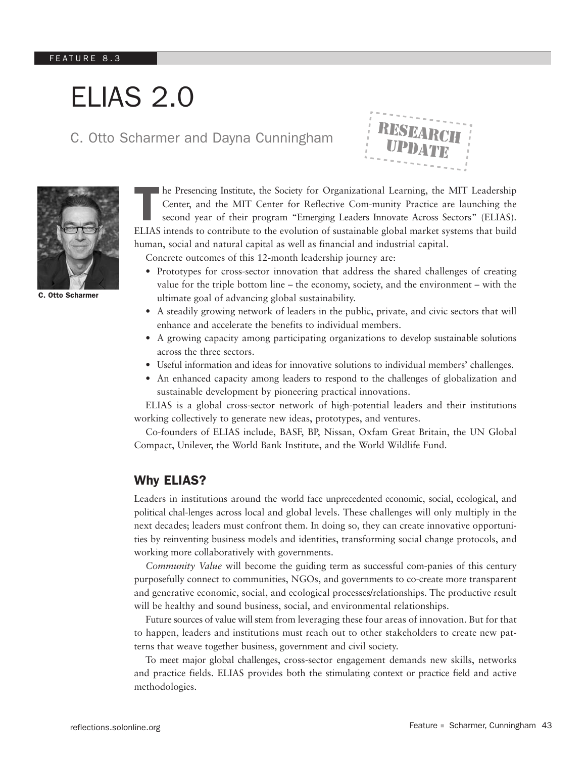# ELIAS 2.0

# C. Otto Scharmer and Dayna Cunningham



he Presencing Institute, the Society for Organizational Learning, the MIT Leadership Center, and the MIT Center for Reflective Com-munity Practice are launching the second year of their program "Emerging Leaders Innovate Across Sectors" (ELIAS). ELIAS intends to contribute to the evolution of sustainable global market systems that build human, social and natural capital as well as financial and industrial capital.

Concrete outcomes of this 12-month leadership journey are:

- Prototypes for cross-sector innovation that address the shared challenges of creating value for the triple bottom line – the economy, society, and the environment – with the ultimate goal of advancing global sustainability.
- A steadily growing network of leaders in the public, private, and civic sectors that will enhance and accelerate the benefits to individual members.
- A growing capacity among participating organizations to develop sustainable solutions across the three sectors.
- Useful information and ideas for innovative solutions to individual members' challenges.
- An enhanced capacity among leaders to respond to the challenges of globalization and sustainable development by pioneering practical innovations.

ELIAS is a global cross-sector network of high-potential leaders and their institutions working collectively to generate new ideas, prototypes, and ventures.

Co-founders of ELIAS include, BASF, BP, Nissan, Oxfam Great Britain, the UN Global Compact, Unilever, the World Bank Institute, and the World Wildlife Fund.

# Why ELIAS?

Leaders in institutions around the world face unprecedented economic, social, ecological, and political chal-lenges across local and global levels. These challenges will only multiply in the next decades; leaders must confront them. In doing so, they can create innovative opportunities by reinventing business models and identities, transforming social change protocols, and working more collaboratively with governments.

*Community Value* will become the guiding term as successful com-panies of this century purposefully connect to communities, NGOs, and governments to co-create more transparent and generative economic, social, and ecological processes/relationships. The productive result will be healthy and sound business, social, and environmental relationships.

Future sources of value will stem from leveraging these four areas of innovation. But for that to happen, leaders and institutions must reach out to other stakeholders to create new patterns that weave together business, government and civil society.

To meet major global challenges, cross-sector engagement demands new skills, networks and practice fields. ELIAS provides both the stimulating context or practice field and active methodologies.



C. Otto Scharmer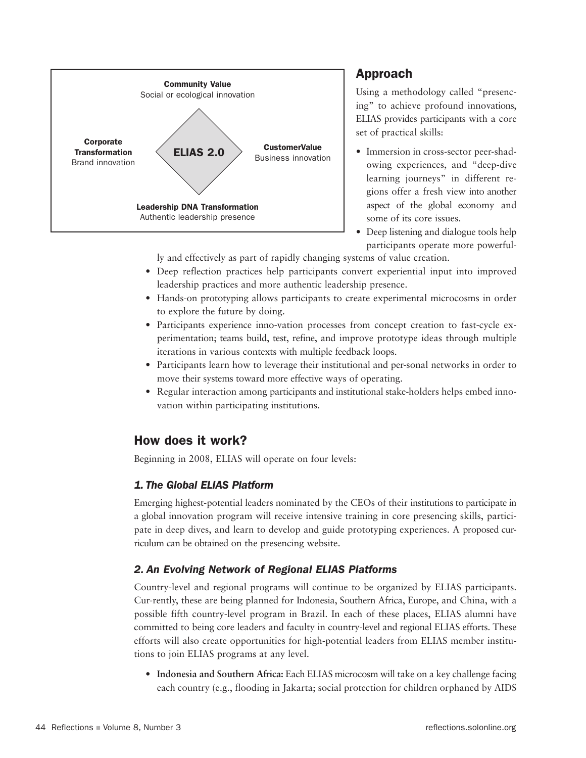

# Approach

Using a methodology called "presencing" to achieve profound innovations, ELIAS provides participants with a core set of practical skills:

- Immersion in cross-sector peer-shadowing experiences, and "deep-dive learning journeys" in different regions offer a fresh view into another aspect of the global economy and some of its core issues.
- Deep listening and dialogue tools help participants operate more powerful-

ly and effectively as part of rapidly changing systems of value creation.

- Deep reflection practices help participants convert experiential input into improved leadership practices and more authentic leadership presence.
- Hands-on prototyping allows participants to create experimental microcosms in order to explore the future by doing.
- Participants experience inno-vation processes from concept creation to fast-cycle experimentation; teams build, test, refine, and improve prototype ideas through multiple iterations in various contexts with multiple feedback loops.
- Participants learn how to leverage their institutional and per-sonal networks in order to move their systems toward more effective ways of operating.
- Regular interaction among participants and institutional stake-holders helps embed innovation within participating institutions.

# How does it work?

Beginning in 2008, ELIAS will operate on four levels:

# *1. The Global ELIAS Platform*

Emerging highest-potential leaders nominated by the CEOs of their institutions to participate in a global innovation program will receive intensive training in core presencing skills, participate in deep dives, and learn to develop and guide prototyping experiences. A proposed curriculum can be obtained on the presencing website.

# *2. An Evolving Network of Regional ELIAS Platforms*

Country-level and regional programs will continue to be organized by ELIAS participants. Cur-rently, these are being planned for Indonesia, Southern Africa, Europe, and China, with a possible fifth country-level program in Brazil. In each of these places, ELIAS alumni have committed to being core leaders and faculty in country-level and regional ELIAS efforts. These efforts will also create opportunities for high-potential leaders from ELIAS member institutions to join ELIAS programs at any level.

• **Indonesia and Southern Africa:** Each ELIAS microcosm will take on a key challenge facing each country (e.g., flooding in Jakarta; social protection for children orphaned by AIDS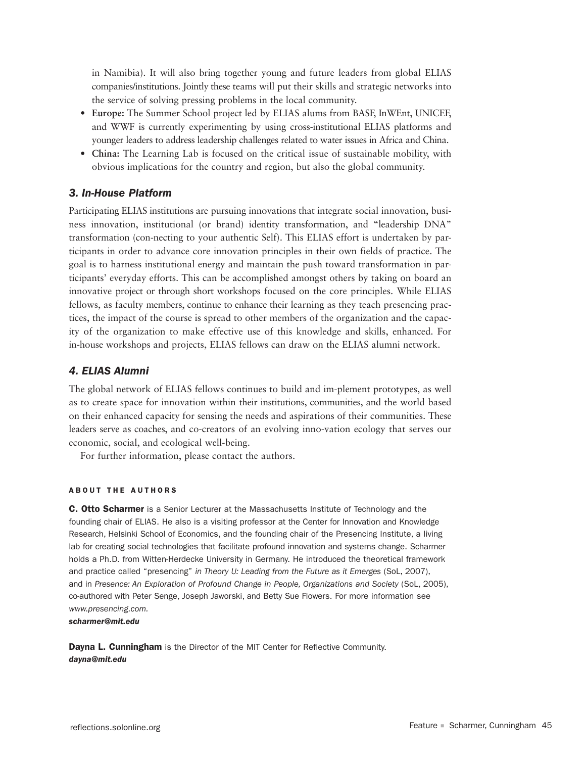in Namibia). It will also bring together young and future leaders from global ELIAS companies/institutions. Jointly these teams will put their skills and strategic networks into the service of solving pressing problems in the local community.

- **Europe:** The Summer School project led by ELIAS alums from BASF, InWEnt, UNICEF, and WWF is currently experimenting by using cross-institutional ELIAS platforms and younger leaders to address leadership challenges related to water issues in Africa and China.
- **China:** The Learning Lab is focused on the critical issue of sustainable mobility, with obvious implications for the country and region, but also the global community.

#### *3. In-House Platform*

Participating ELIAS institutions are pursuing innovations that integrate social innovation, business innovation, institutional (or brand) identity transformation, and "leadership DNA" transformation (con-necting to your authentic Self). This ELIAS effort is undertaken by participants in order to advance core innovation principles in their own fields of practice. The goal is to harness institutional energy and maintain the push toward transformation in participants' everyday efforts. This can be accomplished amongst others by taking on board an innovative project or through short workshops focused on the core principles. While ELIAS fellows, as faculty members, continue to enhance their learning as they teach presencing practices, the impact of the course is spread to other members of the organization and the capacity of the organization to make effective use of this knowledge and skills, enhanced. For in-house workshops and projects, ELIAS fellows can draw on the ELIAS alumni network.

#### *4. ELIAS Alumni*

The global network of ELIAS fellows continues to build and im-plement prototypes, as well as to create space for innovation within their institutions, communities, and the world based on their enhanced capacity for sensing the needs and aspirations of their communities. These leaders serve as coaches, and co-creators of an evolving inno-vation ecology that serves our economic, social, and ecological well-being.

For further information, please contact the authors.

#### **ABOUT THE AUTHORS**

**C. Otto Scharmer** is a Senior Lecturer at the Massachusetts Institute of Technology and the founding chair of ELIAS. He also is a visiting professor at the Center for Innovation and Knowledge Research, Helsinki School of Economics, and the founding chair of the Presencing Institute, a living lab for creating social technologies that facilitate profound innovation and systems change. Scharmer holds a Ph.D. from Witten-Herdecke University in Germany. He introduced the theoretical framework and practice called "presencing" *in Theory U: Leading from the Future as it Emerges* (SoL, 2007), and in *Presence: An Exploration of Profound Change in People, Organizations and Society* (SoL, 2005), co-authored with Peter Senge, Joseph Jaworski, and Betty Sue Flowers. For more information see *www.presencing.com.*

*scharmer@mit.edu*

Dayna L. Cunningham is the Director of the MIT Center for Reflective Community. *dayna@mit.edu*